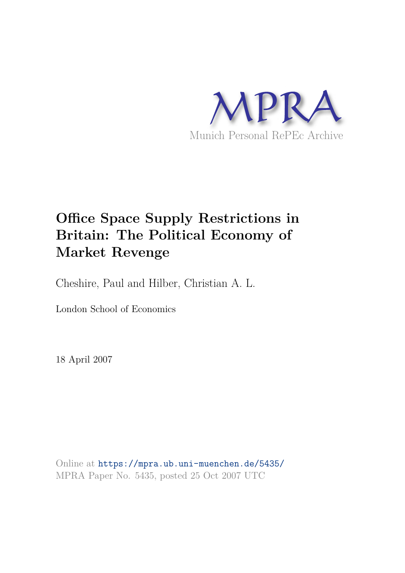

# **Office Space Supply Restrictions in Britain: The Political Economy of Market Revenge**

Cheshire, Paul and Hilber, Christian A. L.

London School of Economics

18 April 2007

Online at https://mpra.ub.uni-muenchen.de/5435/ MPRA Paper No. 5435, posted 25 Oct 2007 UTC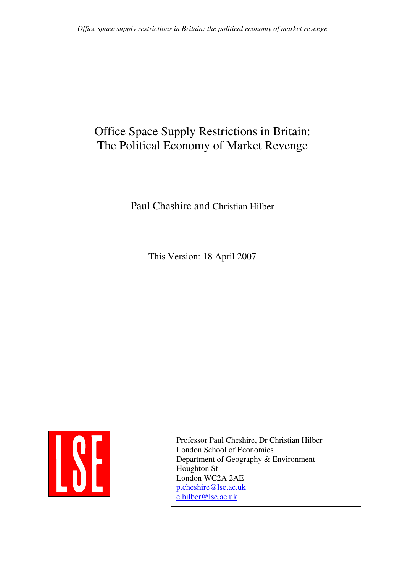## Office Space Supply Restrictions in Britain: The Political Economy of Market Revenge

Paul Cheshire and Christian Hilber

This Version: 18 April 2007



Professor Paul Cheshire, Dr Christian Hilber London School of Economics Department of Geography & Environment Houghton St London WC2A 2AE p.cheshire@lse.ac.uk c.hilber@lse.ac.uk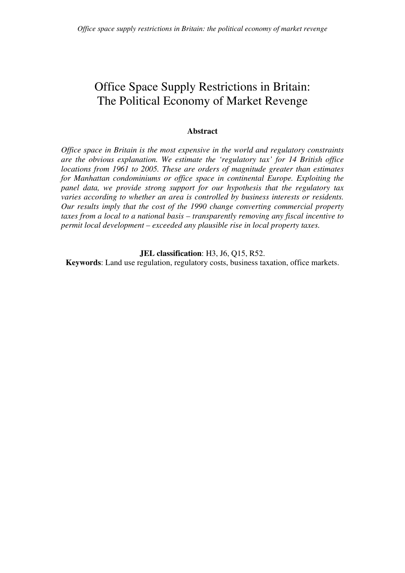## Office Space Supply Restrictions in Britain: The Political Economy of Market Revenge

#### **Abstract**

*Office space in Britain is the most expensive in the world and regulatory constraints are the obvious explanation. We estimate the 'regulatory tax' for 14 British office locations from 1961 to 2005. These are orders of magnitude greater than estimates for Manhattan condominiums or office space in continental Europe. Exploiting the panel data, we provide strong support for our hypothesis that the regulatory tax varies according to whether an area is controlled by business interests or residents. Our results imply that the cost of the 1990 change converting commercial property taxes from a local to a national basis – transparently removing any fiscal incentive to permit local development – exceeded any plausible rise in local property taxes.* 

**JEL classification**: H3, J6, Q15, R52. **Keywords**: Land use regulation, regulatory costs, business taxation, office markets.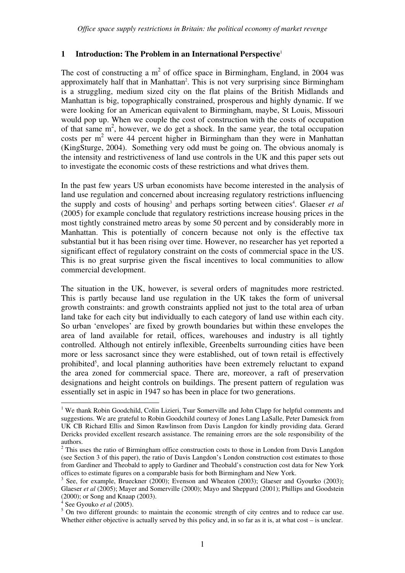#### **1** Introduction: The Problem in an International Perspective<sup>1</sup>

The cost of constructing a  $m<sup>2</sup>$  of office space in Birmingham, England, in 2004 was approximately half that in Manhattan<sup>2</sup>. This is not very surprising since Birmingham is a struggling, medium sized city on the flat plains of the British Midlands and Manhattan is big, topographically constrained, prosperous and highly dynamic. If we were looking for an American equivalent to Birmingham, maybe, St Louis, Missouri would pop up. When we couple the cost of construction with the costs of occupation of that same  $m<sup>2</sup>$ , however, we do get a shock. In the same year, the total occupation costs per  $m<sup>2</sup>$  were 44 percent higher in Birmingham than they were in Manhattan (KingSturge, 2004). Something very odd must be going on. The obvious anomaly is the intensity and restrictiveness of land use controls in the UK and this paper sets out to investigate the economic costs of these restrictions and what drives them.

In the past few years US urban economists have become interested in the analysis of land use regulation and concerned about increasing regulatory restrictions influencing the supply and costs of housing<sup>3</sup> and perhaps sorting between cities<sup>4</sup>. Glaeser *et al* (2005) for example conclude that regulatory restrictions increase housing prices in the most tightly constrained metro areas by some 50 percent and by considerably more in Manhattan. This is potentially of concern because not only is the effective tax substantial but it has been rising over time. However, no researcher has yet reported a significant effect of regulatory constraint on the costs of commercial space in the US. This is no great surprise given the fiscal incentives to local communities to allow commercial development.

The situation in the UK, however, is several orders of magnitudes more restricted. This is partly because land use regulation in the UK takes the form of universal growth constraints: and growth constraints applied not just to the total area of urban land take for each city but individually to each category of land use within each city. So urban 'envelopes' are fixed by growth boundaries but within these envelopes the area of land available for retail, offices, warehouses and industry is all tightly controlled. Although not entirely inflexible, Greenbelts surrounding cities have been more or less sacrosanct since they were established, out of town retail is effectively prohibited<sup>5</sup>, and local planning authorities have been extremely reluctant to expand the area zoned for commercial space. There are, moreover, a raft of preservation designations and height controls on buildings. The present pattern of regulation was essentially set in aspic in 1947 so has been in place for two generations.

 $\overline{a}$ 

<sup>&</sup>lt;sup>1</sup> We thank Robin Goodchild, Colin Lizieri, Tsur Somerville and John Clapp for helpful comments and suggestions. We are grateful to Robin Goodchild courtesy of Jones Lang LaSalle, Peter Damesick from UK CB Richard Ellis and Simon Rawlinson from Davis Langdon for kindly providing data. Gerard Dericks provided excellent research assistance. The remaining errors are the sole responsibility of the authors.

<sup>&</sup>lt;sup>2</sup> This uses the ratio of Birmingham office construction costs to those in London from Davis Langdon (see Section 3 of this paper), the ratio of Davis Langdon's London construction cost estimates to those from Gardiner and Theobald to apply to Gardiner and Theobald's construction cost data for New York offices to estimate figures on a comparable basis for both Birmingham and New York.

 $3$  See, for example, Brueckner (2000); Evenson and Wheaton (2003); Glaeser and Gyourko (2003); Glaeser *et al* (2005); Mayer and Somerville (2000); Mayo and Sheppard (2001); Phillips and Goodstein  $(2000)$ ; or Song and Knaap (2003).

See Gyouko *et al* (2005).

 $5$  On two different grounds: to maintain the economic strength of city centres and to reduce car use. Whether either objective is actually served by this policy and, in so far as it is, at what cost – is unclear.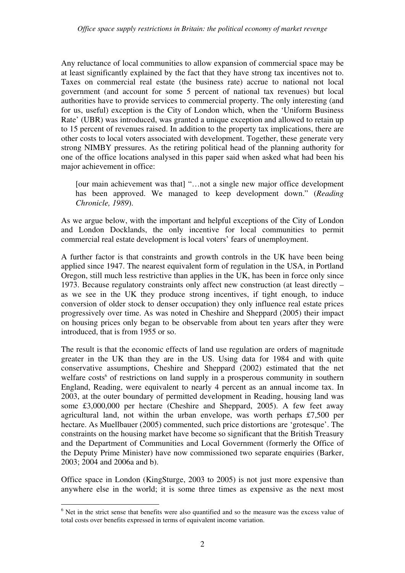Any reluctance of local communities to allow expansion of commercial space may be at least significantly explained by the fact that they have strong tax incentives not to. Taxes on commercial real estate (the business rate) accrue to national not local government (and account for some 5 percent of national tax revenues) but local authorities have to provide services to commercial property. The only interesting (and for us, useful) exception is the City of London which, when the 'Uniform Business Rate' (UBR) was introduced, was granted a unique exception and allowed to retain up to 15 percent of revenues raised. In addition to the property tax implications, there are other costs to local voters associated with development. Together, these generate very strong NIMBY pressures. As the retiring political head of the planning authority for one of the office locations analysed in this paper said when asked what had been his major achievement in office:

[our main achievement was that] "…not a single new major office development has been approved. We managed to keep development down." (*Reading Chronicle, 1989*).

As we argue below, with the important and helpful exceptions of the City of London and London Docklands, the only incentive for local communities to permit commercial real estate development is local voters' fears of unemployment.

A further factor is that constraints and growth controls in the UK have been being applied since 1947. The nearest equivalent form of regulation in the USA, in Portland Oregon, still much less restrictive than applies in the UK, has been in force only since 1973. Because regulatory constraints only affect new construction (at least directly – as we see in the UK they produce strong incentives, if tight enough, to induce conversion of older stock to denser occupation) they only influence real estate prices progressively over time. As was noted in Cheshire and Sheppard (2005) their impact on housing prices only began to be observable from about ten years after they were introduced, that is from 1955 or so.

The result is that the economic effects of land use regulation are orders of magnitude greater in the UK than they are in the US. Using data for 1984 and with quite conservative assumptions, Cheshire and Sheppard (2002) estimated that the net welfare costs<sup>6</sup> of restrictions on land supply in a prosperous community in southern England, Reading, were equivalent to nearly 4 percent as an annual income tax. In 2003, at the outer boundary of permitted development in Reading, housing land was some £3,000,000 per hectare (Cheshire and Sheppard, 2005). A few feet away agricultural land, not within the urban envelope, was worth perhaps £7,500 per hectare. As Muellbauer (2005) commented, such price distortions are 'grotesque'. The constraints on the housing market have become so significant that the British Treasury and the Department of Communities and Local Government (formerly the Office of the Deputy Prime Minister) have now commissioned two separate enquiries (Barker, 2003; 2004 and 2006a and b).

Office space in London (KingSturge, 2003 to 2005) is not just more expensive than anywhere else in the world; it is some three times as expensive as the next most

 $\overline{a}$ <sup>6</sup> Net in the strict sense that benefits were also quantified and so the measure was the excess value of total costs over benefits expressed in terms of equivalent income variation.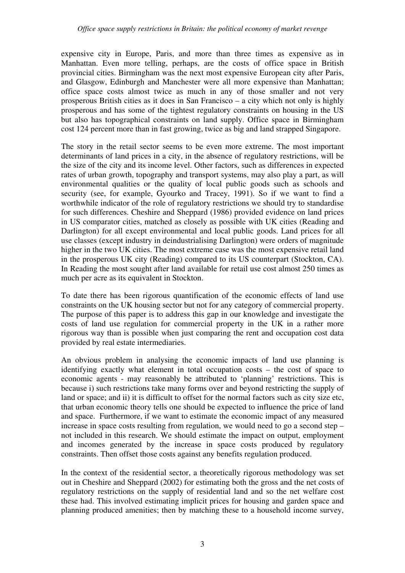expensive city in Europe, Paris, and more than three times as expensive as in Manhattan. Even more telling, perhaps, are the costs of office space in British provincial cities. Birmingham was the next most expensive European city after Paris, and Glasgow, Edinburgh and Manchester were all more expensive than Manhattan; office space costs almost twice as much in any of those smaller and not very prosperous British cities as it does in San Francisco – a city which not only is highly prosperous and has some of the tightest regulatory constraints on housing in the US but also has topographical constraints on land supply. Office space in Birmingham cost 124 percent more than in fast growing, twice as big and land strapped Singapore.

The story in the retail sector seems to be even more extreme. The most important determinants of land prices in a city, in the absence of regulatory restrictions, will be the size of the city and its income level. Other factors, such as differences in expected rates of urban growth, topography and transport systems, may also play a part, as will environmental qualities or the quality of local public goods such as schools and security (see, for example, Gyourko and Tracey, 1991). So if we want to find a worthwhile indicator of the role of regulatory restrictions we should try to standardise for such differences. Cheshire and Sheppard (1986) provided evidence on land prices in US comparator cities, matched as closely as possible with UK cities (Reading and Darlington) for all except environmental and local public goods. Land prices for all use classes (except industry in deindustrialising Darlington) were orders of magnitude higher in the two UK cities. The most extreme case was the most expensive retail land in the prosperous UK city (Reading) compared to its US counterpart (Stockton, CA). In Reading the most sought after land available for retail use cost almost 250 times as much per acre as its equivalent in Stockton.

To date there has been rigorous quantification of the economic effects of land use constraints on the UK housing sector but not for any category of commercial property. The purpose of this paper is to address this gap in our knowledge and investigate the costs of land use regulation for commercial property in the UK in a rather more rigorous way than is possible when just comparing the rent and occupation cost data provided by real estate intermediaries.

An obvious problem in analysing the economic impacts of land use planning is identifying exactly what element in total occupation costs – the cost of space to economic agents - may reasonably be attributed to 'planning' restrictions. This is because i) such restrictions take many forms over and beyond restricting the supply of land or space; and ii) it is difficult to offset for the normal factors such as city size etc, that urban economic theory tells one should be expected to influence the price of land and space. Furthermore, if we want to estimate the economic impact of any measured increase in space costs resulting from regulation, we would need to go a second step – not included in this research. We should estimate the impact on output, employment and incomes generated by the increase in space costs produced by regulatory constraints. Then offset those costs against any benefits regulation produced.

In the context of the residential sector, a theoretically rigorous methodology was set out in Cheshire and Sheppard (2002) for estimating both the gross and the net costs of regulatory restrictions on the supply of residential land and so the net welfare cost these had. This involved estimating implicit prices for housing and garden space and planning produced amenities; then by matching these to a household income survey,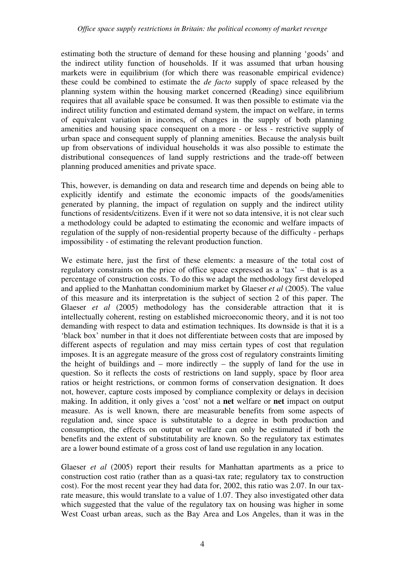estimating both the structure of demand for these housing and planning 'goods' and the indirect utility function of households. If it was assumed that urban housing markets were in equilibrium (for which there was reasonable empirical evidence) these could be combined to estimate the *de facto* supply of space released by the planning system within the housing market concerned (Reading) since equilibrium requires that all available space be consumed. It was then possible to estimate via the indirect utility function and estimated demand system, the impact on welfare, in terms of equivalent variation in incomes, of changes in the supply of both planning amenities and housing space consequent on a more - or less - restrictive supply of urban space and consequent supply of planning amenities. Because the analysis built up from observations of individual households it was also possible to estimate the distributional consequences of land supply restrictions and the trade-off between planning produced amenities and private space.

This, however, is demanding on data and research time and depends on being able to explicitly identify and estimate the economic impacts of the goods/amenities generated by planning, the impact of regulation on supply and the indirect utility functions of residents/citizens. Even if it were not so data intensive, it is not clear such a methodology could be adapted to estimating the economic and welfare impacts of regulation of the supply of non-residential property because of the difficulty - perhaps impossibility - of estimating the relevant production function.

We estimate here, just the first of these elements: a measure of the total cost of regulatory constraints on the price of office space expressed as a 'tax' – that is as a percentage of construction costs. To do this we adapt the methodology first developed and applied to the Manhattan condominium market by Glaeser *et al* (2005). The value of this measure and its interpretation is the subject of section 2 of this paper. The Glaeser *et al* (2005) methodology has the considerable attraction that it is intellectually coherent, resting on established microeconomic theory, and it is not too demanding with respect to data and estimation techniques. Its downside is that it is a 'black box' number in that it does not differentiate between costs that are imposed by different aspects of regulation and may miss certain types of cost that regulation imposes. It is an aggregate measure of the gross cost of regulatory constraints limiting the height of buildings and – more indirectly – the supply of land for the use in question. So it reflects the costs of restrictions on land supply, space by floor area ratios or height restrictions, or common forms of conservation designation. It does not, however, capture costs imposed by compliance complexity or delays in decision making. In addition, it only gives a 'cost' not a **net** welfare or **net** impact on output measure. As is well known, there are measurable benefits from some aspects of regulation and, since space is substitutable to a degree in both production and consumption, the effects on output or welfare can only be estimated if both the benefits and the extent of substitutability are known. So the regulatory tax estimates are a lower bound estimate of a gross cost of land use regulation in any location.

Glaeser *et al* (2005) report their results for Manhattan apartments as a price to construction cost ratio (rather than as a quasi-tax rate; regulatory tax to construction cost). For the most recent year they had data for, 2002, this ratio was 2.07. In our taxrate measure, this would translate to a value of 1.07. They also investigated other data which suggested that the value of the regulatory tax on housing was higher in some West Coast urban areas, such as the Bay Area and Los Angeles, than it was in the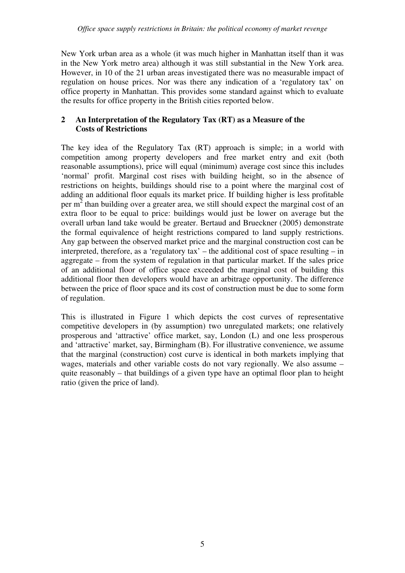New York urban area as a whole (it was much higher in Manhattan itself than it was in the New York metro area) although it was still substantial in the New York area. However, in 10 of the 21 urban areas investigated there was no measurable impact of regulation on house prices. Nor was there any indication of a 'regulatory tax' on office property in Manhattan. This provides some standard against which to evaluate the results for office property in the British cities reported below.

#### **2 An Interpretation of the Regulatory Tax (RT) as a Measure of the Costs of Restrictions**

The key idea of the Regulatory Tax (RT) approach is simple; in a world with competition among property developers and free market entry and exit (both reasonable assumptions), price will equal (minimum) average cost since this includes 'normal' profit. Marginal cost rises with building height, so in the absence of restrictions on heights, buildings should rise to a point where the marginal cost of adding an additional floor equals its market price. If building higher is less profitable per  $m<sup>2</sup>$  than building over a greater area, we still should expect the marginal cost of an extra floor to be equal to price: buildings would just be lower on average but the overall urban land take would be greater. Bertaud and Brueckner (2005) demonstrate the formal equivalence of height restrictions compared to land supply restrictions. Any gap between the observed market price and the marginal construction cost can be interpreted, therefore, as a 'regulatory tax' – the additional cost of space resulting – in aggregate – from the system of regulation in that particular market. If the sales price of an additional floor of office space exceeded the marginal cost of building this additional floor then developers would have an arbitrage opportunity. The difference between the price of floor space and its cost of construction must be due to some form of regulation.

This is illustrated in Figure 1 which depicts the cost curves of representative competitive developers in (by assumption) two unregulated markets; one relatively prosperous and 'attractive' office market, say, London (L) and one less prosperous and 'attractive' market, say, Birmingham (B). For illustrative convenience, we assume that the marginal (construction) cost curve is identical in both markets implying that wages, materials and other variable costs do not vary regionally. We also assume – quite reasonably – that buildings of a given type have an optimal floor plan to height ratio (given the price of land).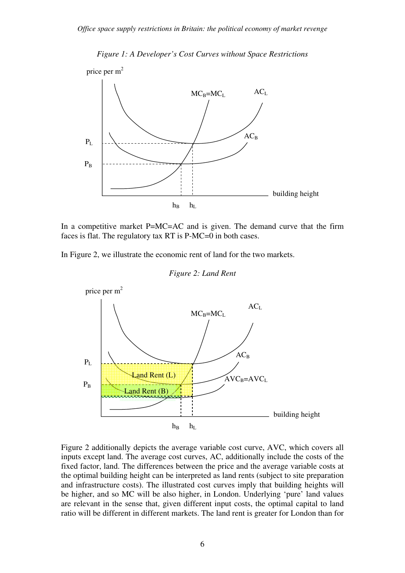



In a competitive market P=MC=AC and is given. The demand curve that the firm faces is flat. The regulatory tax RT is P-MC=0 in both cases.

In Figure 2, we illustrate the economic rent of land for the two markets.



*Figure 2: Land Rent* 

Figure 2 additionally depicts the average variable cost curve, AVC, which covers all inputs except land. The average cost curves, AC, additionally include the costs of the fixed factor, land. The differences between the price and the average variable costs at the optimal building height can be interpreted as land rents (subject to site preparation and infrastructure costs). The illustrated cost curves imply that building heights will be higher, and so MC will be also higher, in London. Underlying 'pure' land values are relevant in the sense that, given different input costs, the optimal capital to land ratio will be different in different markets. The land rent is greater for London than for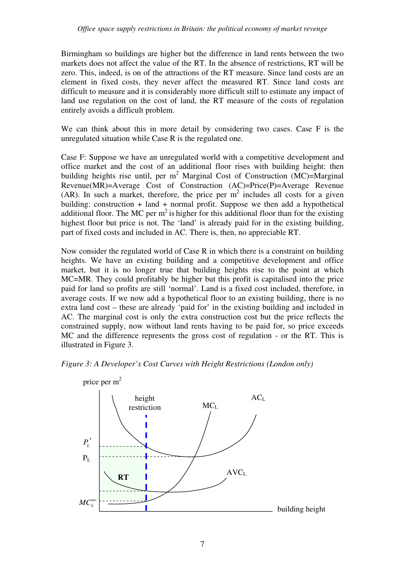Birmingham so buildings are higher but the difference in land rents between the two markets does not affect the value of the RT. In the absence of restrictions, RT will be zero. This, indeed, is on of the attractions of the RT measure. Since land costs are an element in fixed costs, they never affect the measured RT. Since land costs are difficult to measure and it is considerably more difficult still to estimate any impact of land use regulation on the cost of land, the RT measure of the costs of regulation entirely avoids a difficult problem.

We can think about this in more detail by considering two cases. Case F is the unregulated situation while Case R is the regulated one.

Case F: Suppose we have an unregulated world with a competitive development and office market and the cost of an additional floor rises with building height: then building heights rise until, per  $m^2$  Marginal Cost of Construction (MC)=Marginal Revenue(MR)=Average Cost of Construction (AC)=Price(P)=Average Revenue  $(AR)$ . In such a market, therefore, the price per  $m<sup>2</sup>$  includes all costs for a given building: construction  $+$  land  $+$  normal profit. Suppose we then add a hypothetical additional floor. The MC per  $m^2$  is higher for this additional floor than for the existing highest floor but price is not. The 'land' is already paid for in the existing building, part of fixed costs and included in AC. There is, then, no appreciable RT.

Now consider the regulated world of Case R in which there is a constraint on building heights. We have an existing building and a competitive development and office market, but it is no longer true that building heights rise to the point at which MC=MR. They could profitably be higher but this profit is capitalised into the price paid for land so profits are still 'normal'. Land is a fixed cost included, therefore, in average costs. If we now add a hypothetical floor to an existing building, there is no extra land cost – these are already 'paid for' in the existing building and included in AC. The marginal cost is only the extra construction cost but the price reflects the constrained supply, now without land rents having to be paid for, so price exceeds MC and the difference represents the gross cost of regulation - or the RT. This is illustrated in Figure 3.





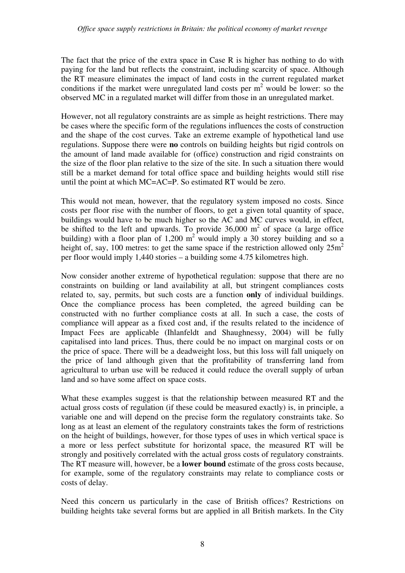The fact that the price of the extra space in Case R is higher has nothing to do with paying for the land but reflects the constraint, including scarcity of space. Although the RT measure eliminates the impact of land costs in the current regulated market conditions if the market were unregulated land costs per  $m<sup>2</sup>$  would be lower: so the observed MC in a regulated market will differ from those in an unregulated market.

However, not all regulatory constraints are as simple as height restrictions. There may be cases where the specific form of the regulations influences the costs of construction and the shape of the cost curves. Take an extreme example of hypothetical land use regulations. Suppose there were **no** controls on building heights but rigid controls on the amount of land made available for (office) construction and rigid constraints on the size of the floor plan relative to the size of the site. In such a situation there would still be a market demand for total office space and building heights would still rise until the point at which MC=AC=P. So estimated RT would be zero.

This would not mean, however, that the regulatory system imposed no costs. Since costs per floor rise with the number of floors, to get a given total quantity of space, buildings would have to be much higher so the AC and MC curves would, in effect, be shifted to the left and upwards. To provide  $36,000 \text{ m}^2$  of space (a large office building) with a floor plan of  $1,200 \text{ m}^2$  would imply a 30 storey building and so a height of, say, 100 metres: to get the same space if the restriction allowed only  $25m<sup>2</sup>$ per floor would imply 1,440 stories – a building some 4.75 kilometres high.

Now consider another extreme of hypothetical regulation: suppose that there are no constraints on building or land availability at all, but stringent compliances costs related to, say, permits, but such costs are a function **only** of individual buildings. Once the compliance process has been completed, the agreed building can be constructed with no further compliance costs at all. In such a case, the costs of compliance will appear as a fixed cost and, if the results related to the incidence of Impact Fees are applicable (Ihlanfeldt and Shaughnessy, 2004) will be fully capitalised into land prices. Thus, there could be no impact on marginal costs or on the price of space. There will be a deadweight loss, but this loss will fall uniquely on the price of land although given that the profitability of transferring land from agricultural to urban use will be reduced it could reduce the overall supply of urban land and so have some affect on space costs.

What these examples suggest is that the relationship between measured RT and the actual gross costs of regulation (if these could be measured exactly) is, in principle, a variable one and will depend on the precise form the regulatory constraints take. So long as at least an element of the regulatory constraints takes the form of restrictions on the height of buildings, however, for those types of uses in which vertical space is a more or less perfect substitute for horizontal space, the measured RT will be strongly and positively correlated with the actual gross costs of regulatory constraints. The RT measure will, however, be a **lower bound** estimate of the gross costs because, for example, some of the regulatory constraints may relate to compliance costs or costs of delay.

Need this concern us particularly in the case of British offices? Restrictions on building heights take several forms but are applied in all British markets. In the City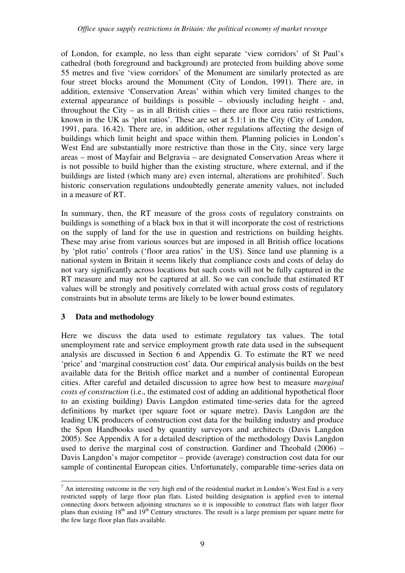of London, for example, no less than eight separate 'view corridors' of St Paul's cathedral (both foreground and background) are protected from building above some 55 metres and five 'view corridors' of the Monument are similarly protected as are four street blocks around the Monument (City of London, 1991). There are, in addition, extensive 'Conservation Areas' within which very limited changes to the external appearance of buildings is possible – obviously including height - and, throughout the City – as in all British cities – there are floor area ratio restrictions, known in the UK as 'plot ratios'. These are set at 5.1:1 in the City (City of London, 1991, para. 16.42). There are, in addition, other regulations affecting the design of buildings which limit height and space within them. Planning policies in London's West End are substantially more restrictive than those in the City, since very large areas – most of Mayfair and Belgravia – are designated Conservation Areas where it is not possible to build higher than the existing structure, where external, and if the buildings are listed (which many are) even internal, alterations are prohibited<sup>7</sup>. Such historic conservation regulations undoubtedly generate amenity values, not included in a measure of RT.

In summary, then, the RT measure of the gross costs of regulatory constraints on buildings is something of a black box in that it will incorporate the cost of restrictions on the supply of land for the use in question and restrictions on building heights. These may arise from various sources but are imposed in all British office locations by 'plot ratio' controls ('floor area ratios' in the US). Since land use planning is a national system in Britain it seems likely that compliance costs and costs of delay do not vary significantly across locations but such costs will not be fully captured in the RT measure and may not be captured at all. So we can conclude that estimated RT values will be strongly and positively correlated with actual gross costs of regulatory constraints but in absolute terms are likely to be lower bound estimates.

#### **3 Data and methodology**

Here we discuss the data used to estimate regulatory tax values. The total unemployment rate and service employment growth rate data used in the subsequent analysis are discussed in Section 6 and Appendix G. To estimate the RT we need 'price' and 'marginal construction cost' data. Our empirical analysis builds on the best available data for the British office market and a number of continental European cities. After careful and detailed discussion to agree how best to measure *marginal costs of construction* (i.e., the estimated cost of adding an additional hypothetical floor to an existing building) Davis Langdon estimated time-series data for the agreed definitions by market (per square foot or square metre). Davis Langdon are the leading UK producers of construction cost data for the building industry and produce the Spon Handbooks used by quantity surveyors and architects (Davis Langdon 2005). See Appendix A for a detailed description of the methodology Davis Langdon used to derive the marginal cost of construction. Gardiner and Theobald  $(2006)$  – Davis Langdon's major competitor – provide (average) construction cost data for our sample of continental European cities. Unfortunately, comparable time-series data on

 $\overline{a}$  $<sup>7</sup>$  An interesting outcome in the very high end of the residential market in London's West End is a very</sup> restricted supply of large floor plan flats. Listed building designation is applied even to internal connecting doors between adjoining structures so it is impossible to construct flats with larger floor plans than existing 18<sup>th</sup> and 19<sup>th</sup> Century structures. The result is a large premium per square metre for the few large floor plan flats available.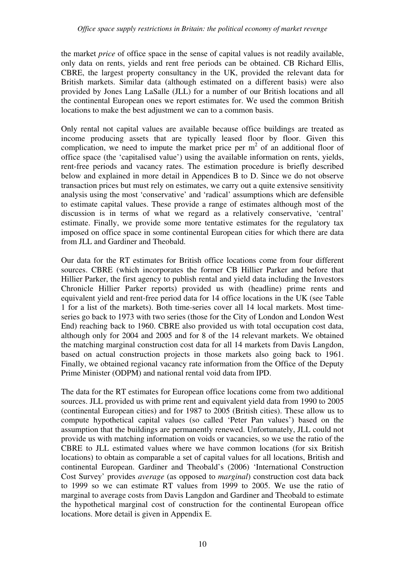the market *price* of office space in the sense of capital values is not readily available, only data on rents, yields and rent free periods can be obtained. CB Richard Ellis, CBRE, the largest property consultancy in the UK, provided the relevant data for British markets. Similar data (although estimated on a different basis) were also provided by Jones Lang LaSalle (JLL) for a number of our British locations and all the continental European ones we report estimates for. We used the common British locations to make the best adjustment we can to a common basis.

Only rental not capital values are available because office buildings are treated as income producing assets that are typically leased floor by floor. Given this complication, we need to impute the market price per  $m<sup>2</sup>$  of an additional floor of office space (the 'capitalised value') using the available information on rents, yields, rent-free periods and vacancy rates. The estimation procedure is briefly described below and explained in more detail in Appendices B to D. Since we do not observe transaction prices but must rely on estimates, we carry out a quite extensive sensitivity analysis using the most 'conservative' and 'radical' assumptions which are defensible to estimate capital values. These provide a range of estimates although most of the discussion is in terms of what we regard as a relatively conservative, 'central' estimate. Finally, we provide some more tentative estimates for the regulatory tax imposed on office space in some continental European cities for which there are data from JLL and Gardiner and Theobald.

Our data for the RT estimates for British office locations come from four different sources. CBRE (which incorporates the former CB Hillier Parker and before that Hillier Parker, the first agency to publish rental and yield data including the Investors Chronicle Hillier Parker reports) provided us with (headline) prime rents and equivalent yield and rent-free period data for 14 office locations in the UK (see Table 1 for a list of the markets). Both time-series cover all 14 local markets. Most timeseries go back to 1973 with two series (those for the City of London and London West End) reaching back to 1960. CBRE also provided us with total occupation cost data, although only for 2004 and 2005 and for 8 of the 14 relevant markets. We obtained the matching marginal construction cost data for all 14 markets from Davis Langdon, based on actual construction projects in those markets also going back to 1961. Finally, we obtained regional vacancy rate information from the Office of the Deputy Prime Minister (ODPM) and national rental void data from IPD.

The data for the RT estimates for European office locations come from two additional sources. JLL provided us with prime rent and equivalent yield data from 1990 to 2005 (continental European cities) and for 1987 to 2005 (British cities). These allow us to compute hypothetical capital values (so called 'Peter Pan values') based on the assumption that the buildings are permanently renewed. Unfortunately, JLL could not provide us with matching information on voids or vacancies, so we use the ratio of the CBRE to JLL estimated values where we have common locations (for six British locations) to obtain as comparable a set of capital values for all locations, British and continental European. Gardiner and Theobald's (2006) 'International Construction Cost Survey' provides *average* (as opposed to *marginal*) construction cost data back to 1999 so we can estimate RT values from 1999 to 2005. We use the ratio of marginal to average costs from Davis Langdon and Gardiner and Theobald to estimate the hypothetical marginal cost of construction for the continental European office locations. More detail is given in Appendix E.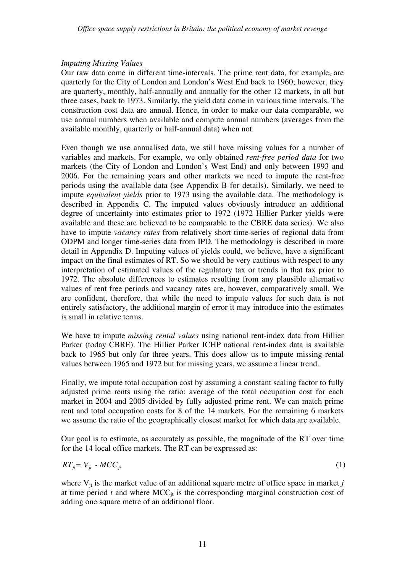#### *Imputing Missing Values*

Our raw data come in different time-intervals. The prime rent data, for example, are quarterly for the City of London and London's West End back to 1960; however, they are quarterly, monthly, half-annually and annually for the other 12 markets, in all but three cases, back to 1973. Similarly, the yield data come in various time intervals. The construction cost data are annual. Hence, in order to make our data comparable, we use annual numbers when available and compute annual numbers (averages from the available monthly, quarterly or half-annual data) when not.

Even though we use annualised data, we still have missing values for a number of variables and markets. For example, we only obtained *rent-free period data* for two markets (the City of London and London's West End) and only between 1993 and 2006. For the remaining years and other markets we need to impute the rent-free periods using the available data (see Appendix B for details). Similarly, we need to impute *equivalent yields* prior to 1973 using the available data. The methodology is described in Appendix C. The imputed values obviously introduce an additional degree of uncertainty into estimates prior to 1972 (1972 Hillier Parker yields were available and these are believed to be comparable to the CBRE data series). We also have to impute *vacancy rates* from relatively short time-series of regional data from ODPM and longer time-series data from IPD. The methodology is described in more detail in Appendix D. Imputing values of yields could, we believe, have a significant impact on the final estimates of RT. So we should be very cautious with respect to any interpretation of estimated values of the regulatory tax or trends in that tax prior to 1972. The absolute differences to estimates resulting from any plausible alternative values of rent free periods and vacancy rates are, however, comparatively small. We are confident, therefore, that while the need to impute values for such data is not entirely satisfactory, the additional margin of error it may introduce into the estimates is small in relative terms.

We have to impute *missing rental values* using national rent-index data from Hillier Parker (today CBRE). The Hillier Parker ICHP national rent-index data is available back to 1965 but only for three years. This does allow us to impute missing rental values between 1965 and 1972 but for missing years, we assume a linear trend.

Finally, we impute total occupation cost by assuming a constant scaling factor to fully adjusted prime rents using the ratio: average of the total occupation cost for each market in 2004 and 2005 divided by fully adjusted prime rent. We can match prime rent and total occupation costs for 8 of the 14 markets. For the remaining 6 markets we assume the ratio of the geographically closest market for which data are available.

Our goal is to estimate, as accurately as possible, the magnitude of the RT over time for the 14 local office markets. The RT can be expressed as:

$$
RT_{jt} = V_{jt} - MCC_{jt} \tag{1}
$$

where  $V_{it}$  is the market value of an additional square metre of office space in market *j* at time period  $t$  and where  $MCC_{it}$  is the corresponding marginal construction cost of adding one square metre of an additional floor.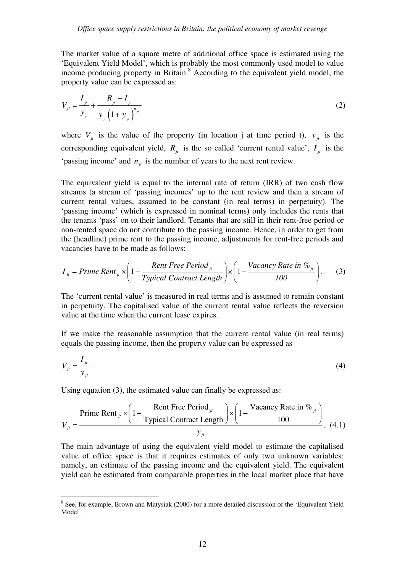The market value of a square metre of additional office space is estimated using the 'Equivalent Yield Model', which is probably the most commonly used model to value income producing property in Britain.<sup>8</sup> According to the equivalent yield model, the property value can be expressed as:

$$
V_{ji} = \frac{I_{ji}}{y_{ji}} + \frac{R_{ji} - I_{ji}}{y_{ji} (1 + y_{ji})^{n_{ji}}}
$$
(2)

where  $V_{it}$  is the value of the property (in location j at time period t),  $y_{it}$  is the corresponding equivalent yield,  $R_{it}$  is the so called 'current rental value',  $I_{it}$  is the 'passing income' and  $n_{it}$  is the number of years to the next rent review.

The equivalent yield is equal to the internal rate of return (IRR) of two cash flow streams (a stream of 'passing incomes' up to the rent review and then a stream of current rental values, assumed to be constant (in real terms) in perpetuity). The 'passing income' (which is expressed in nominal terms) only includes the rents that the tenants 'pass' on to their landlord. Tenants that are still in their rent-free period or non-rented space do not contribute to the passing income. Hence, in order to get from the (headline) prime rent to the passing income, adjustments for rent-free periods and vacancies have to be made as follows:

$$
I_{j_t} = Prime\ Rent_{j_t} \times \left(1 - \frac{Rent\ Free\ Period_{j_t}}{Typical\ Contract\ Length}\right) \times \left(1 - \frac{Vacancy\ Rate\ in\ \%_{j_t}}{100}\right). \tag{3}
$$

The 'current rental value' is measured in real terms and is assumed to remain constant in perpetuity. The capitalised value of the current rental value reflects the reversion value at the time when the current lease expires.

If we make the reasonable assumption that the current rental value (in real terms) equals the passing income, then the property value can be expressed as

$$
V_{jt} = \frac{I_{jt}}{y_{jt}}.
$$
\n<sup>(4)</sup>

Using equation (3), the estimated value can finally be expressed as:

 $\overline{a}$ 

$$
V_{ji} = \frac{\text{Prime Rent}_{ji} \times \left(1 - \frac{\text{Rent Free Period}_{ji}}{\text{Typical Contract Length}}\right) \times \left(1 - \frac{\text{Vacancy Rate in } \%_{ji}}{100}\right)}{y_{ji}}.
$$
 (4.1)

The main advantage of using the equivalent yield model to estimate the capitalised value of office space is that it requires estimates of only two unknown variables: namely, an estimate of the passing income and the equivalent yield. The equivalent yield can be estimated from comparable properties in the local market place that have

<sup>&</sup>lt;sup>8</sup> See, for example, Brown and Matysiak (2000) for a more detailed discussion of the 'Equivalent Yield Model'.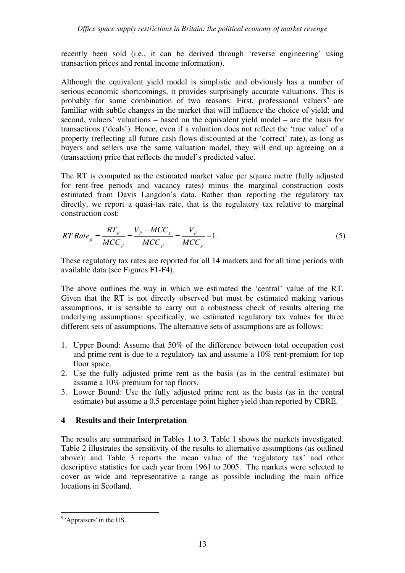recently been sold (i.e., it can be derived through 'reverse engineering' using transaction prices and rental income information).

Although the equivalent yield model is simplistic and obviously has a number of serious economic shortcomings, it provides surprisingly accurate valuations. This is probably for some combination of two reasons: First, professional valuers<sup>9</sup> are familiar with subtle changes in the market that will influence the choice of yield; and second, valuers' valuations – based on the equivalent yield model – are the basis for transactions ('deals'). Hence, even if a valuation does not reflect the 'true value' of a property (reflecting all future cash flows discounted at the 'correct' rate), as long as buyers and sellers use the same valuation model, they will end up agreeing on a (transaction) price that reflects the model's predicted value.

The RT is computed as the estimated market value per square metre (fully adjusted for rent-free periods and vacancy rates) minus the marginal construction costs estimated from Davis Langdon's data. Rather than reporting the regulatory tax directly, we report a quasi-tax rate, that is the regulatory tax relative to marginal construction cost:

$$
RT Rate_{ji} = \frac{RT_{ji}}{MCC_{ji}} = \frac{V_{ji} - MCC_{ji}}{MCC_{ji}} = \frac{V_{ji}}{MCC_{ji}} - 1.
$$
 (5)

These regulatory tax rates are reported for all 14 markets and for all time periods with available data (see Figures F1-F4).

The above outlines the way in which we estimated the 'central' value of the RT. Given that the RT is not directly observed but must be estimated making various assumptions, it is sensible to carry out a robustness check of results altering the underlying assumptions: specifically, we estimated regulatory tax values for three different sets of assumptions. The alternative sets of assumptions are as follows:

- 1. Upper Bound: Assume that 50% of the difference between total occupation cost and prime rent is due to a regulatory tax and assume a 10% rent-premium for top floor space.
- 2. Use the fully adjusted prime rent as the basis (as in the central estimate) but assume a 10% premium for top floors.
- 3. Lower Bound: Use the fully adjusted prime rent as the basis (as in the central estimate) but assume a 0.5 percentage point higher yield than reported by CBRE.

#### **4 Results and their Interpretation**

The results are summarised in Tables 1 to 3. Table 1 shows the markets investigated. Table 2 illustrates the sensitivity of the results to alternative assumptions (as outlined above); and Table 3 reports the mean value of the 'regulatory tax' and other descriptive statistics for each year from 1961 to 2005. The markets were selected to cover as wide and representative a range as possible including the main office locations in Scotland.

<sup>&</sup>lt;sup>9</sup> 'Appraisers' in the US.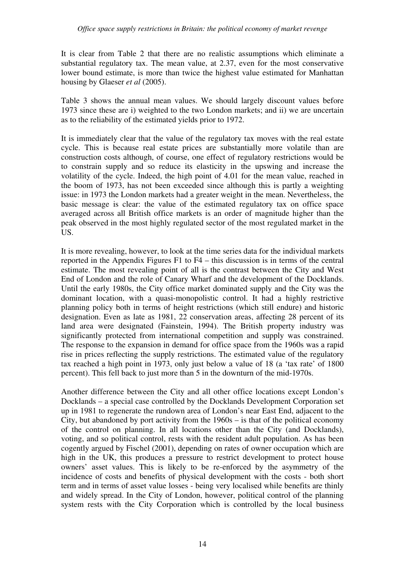It is clear from Table 2 that there are no realistic assumptions which eliminate a substantial regulatory tax. The mean value, at 2.37, even for the most conservative lower bound estimate, is more than twice the highest value estimated for Manhattan housing by Glaeser *et al* (2005).

Table 3 shows the annual mean values. We should largely discount values before 1973 since these are i) weighted to the two London markets; and ii) we are uncertain as to the reliability of the estimated yields prior to 1972.

It is immediately clear that the value of the regulatory tax moves with the real estate cycle. This is because real estate prices are substantially more volatile than are construction costs although, of course, one effect of regulatory restrictions would be to constrain supply and so reduce its elasticity in the upswing and increase the volatility of the cycle. Indeed, the high point of 4.01 for the mean value, reached in the boom of 1973, has not been exceeded since although this is partly a weighting issue: in 1973 the London markets had a greater weight in the mean. Nevertheless, the basic message is clear: the value of the estimated regulatory tax on office space averaged across all British office markets is an order of magnitude higher than the peak observed in the most highly regulated sector of the most regulated market in the US.

It is more revealing, however, to look at the time series data for the individual markets reported in the Appendix Figures F1 to F4 – this discussion is in terms of the central estimate. The most revealing point of all is the contrast between the City and West End of London and the role of Canary Wharf and the development of the Docklands. Until the early 1980s, the City office market dominated supply and the City was the dominant location, with a quasi-monopolistic control. It had a highly restrictive planning policy both in terms of height restrictions (which still endure) and historic designation. Even as late as 1981, 22 conservation areas, affecting 28 percent of its land area were designated (Fainstein, 1994). The British property industry was significantly protected from international competition and supply was constrained. The response to the expansion in demand for office space from the 1960s was a rapid rise in prices reflecting the supply restrictions. The estimated value of the regulatory tax reached a high point in 1973, only just below a value of 18 (a 'tax rate' of 1800 percent). This fell back to just more than 5 in the downturn of the mid-1970s.

Another difference between the City and all other office locations except London's Docklands – a special case controlled by the Docklands Development Corporation set up in 1981 to regenerate the rundown area of London's near East End, adjacent to the City, but abandoned by port activity from the 1960s – is that of the political economy of the control on planning. In all locations other than the City (and Docklands), voting, and so political control, rests with the resident adult population. As has been cogently argued by Fischel (2001), depending on rates of owner occupation which are high in the UK, this produces a pressure to restrict development to protect house owners' asset values. This is likely to be re-enforced by the asymmetry of the incidence of costs and benefits of physical development with the costs - both short term and in terms of asset value losses - being very localised while benefits are thinly and widely spread. In the City of London, however, political control of the planning system rests with the City Corporation which is controlled by the local business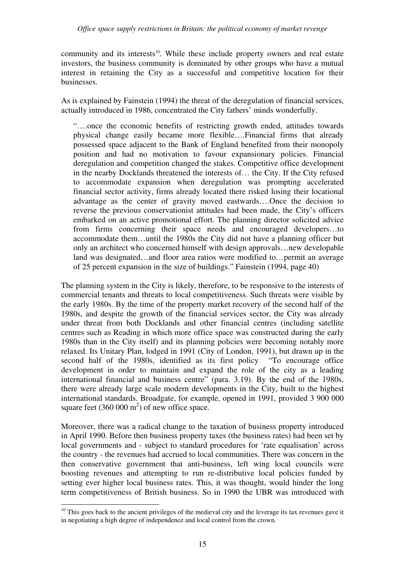community and its interests<sup>10</sup>. While these include property owners and real estate investors, the business community is dominated by other groups who have a mutual interest in retaining the City as a successful and competitive location for their businesses.

As is explained by Fainstein (1994) the threat of the deregulation of financial services, actually introduced in 1986, concentrated the City fathers' minds wonderfully.

"….once the economic benefits of restricting growth ended, attitudes towards physical change easily became more flexible….Financial firms that already possessed space adjacent to the Bank of England benefited from their monopoly position and had no motivation to favour expansionary policies. Financial deregulation and competition changed the stakes. Competitive office development in the nearby Docklands threatened the interests of… the City. If the City refused to accommodate expansion when deregulation was prompting accelerated financial sector activity, firms already located there risked losing their locational advantage as the center of gravity moved eastwards….Once the decision to reverse the previous conservationist attitudes had been made, the City's officers embarked on an active promotional effort. The planning director solicited advice from firms concerning their space needs and encouraged developers…to accommodate them…until the 1980s the City did not have a planning officer but only an architect who concerned himself with design approvals…new developable land was designated…and floor area ratios were modified to…permit an average of 25 percent expansion in the size of buildings." Fainstein (1994, page 40)

The planning system in the City is likely, therefore, to be responsive to the interests of commercial tenants and threats to local competitiveness. Such threats were visible by the early 1980s. By the time of the property market recovery of the second half of the 1980s, and despite the growth of the financial services sector, the City was already under threat from both Docklands and other financial centres (including satellite centres such as Reading in which more office space was constructed during the early 1980s than in the City itself) and its planning policies were becoming notably more relaxed. Its Unitary Plan, lodged in 1991 (City of London, 1991), but drawn up in the second half of the 1980s, identified as its first policy "To encourage office development in order to maintain and expand the role of the city as a leading international financial and business centre" (para. 3.19). By the end of the 1980s, there were already large scale modern developments in the City, built to the highest international standards. Broadgate, for example, opened in 1991, provided 3 900 000 square feet  $(360\,000\,\text{m}^2)$  of new office space.

Moreover, there was a radical change to the taxation of business property introduced in April 1990. Before then business property taxes (the business rates) had been set by local governments and - subject to standard procedures for 'rate equalisation' across the country - the revenues had accrued to local communities. There was concern in the then conservative government that anti-business, left wing local councils were boosting revenues and attempting to run re-distributive local policies funded by setting ever higher local business rates. This, it was thought, would hinder the long term competitiveness of British business. So in 1990 the UBR was introduced with

 $\overline{a}$  $10$  This goes back to the ancient privileges of the medieval city and the leverage its tax revenues gave it in negotiating a high degree of independence and local control from the crown.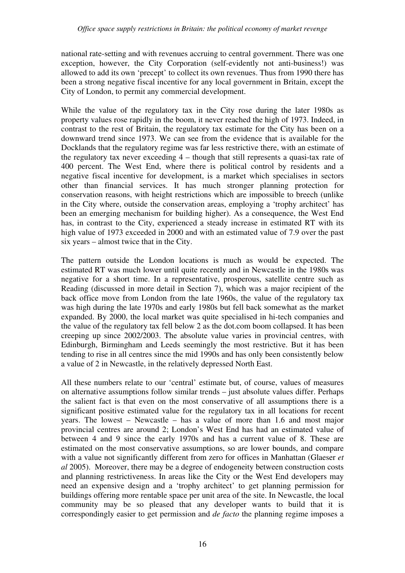national rate-setting and with revenues accruing to central government. There was one exception, however, the City Corporation (self-evidently not anti-business!) was allowed to add its own 'precept' to collect its own revenues. Thus from 1990 there has been a strong negative fiscal incentive for any local government in Britain, except the City of London, to permit any commercial development.

While the value of the regulatory tax in the City rose during the later 1980s as property values rose rapidly in the boom, it never reached the high of 1973. Indeed, in contrast to the rest of Britain, the regulatory tax estimate for the City has been on a downward trend since 1973. We can see from the evidence that is available for the Docklands that the regulatory regime was far less restrictive there, with an estimate of the regulatory tax never exceeding 4 – though that still represents a quasi-tax rate of 400 percent. The West End, where there is political control by residents and a negative fiscal incentive for development, is a market which specialises in sectors other than financial services. It has much stronger planning protection for conservation reasons, with height restrictions which are impossible to breech (unlike in the City where, outside the conservation areas, employing a 'trophy architect' has been an emerging mechanism for building higher). As a consequence, the West End has, in contrast to the City, experienced a steady increase in estimated RT with its high value of 1973 exceeded in 2000 and with an estimated value of 7.9 over the past six years – almost twice that in the City.

The pattern outside the London locations is much as would be expected. The estimated RT was much lower until quite recently and in Newcastle in the 1980s was negative for a short time. In a representative, prosperous, satellite centre such as Reading (discussed in more detail in Section 7), which was a major recipient of the back office move from London from the late 1960s, the value of the regulatory tax was high during the late 1970s and early 1980s but fell back somewhat as the market expanded. By 2000, the local market was quite specialised in hi-tech companies and the value of the regulatory tax fell below 2 as the dot.com boom collapsed. It has been creeping up since 2002/2003. The absolute value varies in provincial centres, with Edinburgh, Birmingham and Leeds seemingly the most restrictive. But it has been tending to rise in all centres since the mid 1990s and has only been consistently below a value of 2 in Newcastle, in the relatively depressed North East.

All these numbers relate to our 'central' estimate but, of course, values of measures on alternative assumptions follow similar trends – just absolute values differ. Perhaps the salient fact is that even on the most conservative of all assumptions there is a significant positive estimated value for the regulatory tax in all locations for recent years. The lowest – Newcastle – has a value of more than 1.6 and most major provincial centres are around 2; London's West End has had an estimated value of between 4 and 9 since the early 1970s and has a current value of 8. These are estimated on the most conservative assumptions, so are lower bounds, and compare with a value not significantly different from zero for offices in Manhattan (Glaeser *et al* 2005). Moreover, there may be a degree of endogeneity between construction costs and planning restrictiveness. In areas like the City or the West End developers may need an expensive design and a 'trophy architect' to get planning permission for buildings offering more rentable space per unit area of the site. In Newcastle, the local community may be so pleased that any developer wants to build that it is correspondingly easier to get permission and *de facto* the planning regime imposes a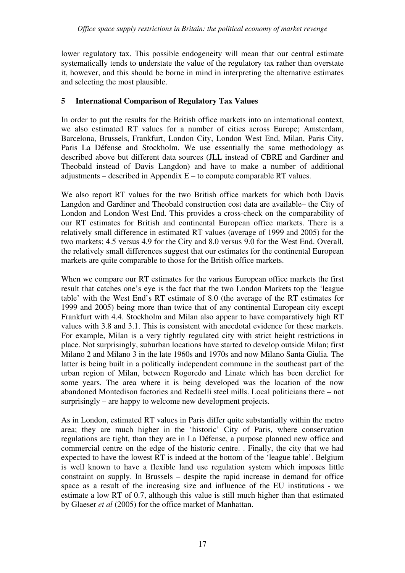lower regulatory tax. This possible endogeneity will mean that our central estimate systematically tends to understate the value of the regulatory tax rather than overstate it, however, and this should be borne in mind in interpreting the alternative estimates and selecting the most plausible.

#### **5 International Comparison of Regulatory Tax Values**

In order to put the results for the British office markets into an international context, we also estimated RT values for a number of cities across Europe; Amsterdam, Barcelona, Brussels, Frankfurt, London City, London West End, Milan, Paris City, Paris La Défense and Stockholm. We use essentially the same methodology as described above but different data sources (JLL instead of CBRE and Gardiner and Theobald instead of Davis Langdon) and have to make a number of additional adjustments – described in Appendix E – to compute comparable RT values.

We also report RT values for the two British office markets for which both Davis Langdon and Gardiner and Theobald construction cost data are available– the City of London and London West End. This provides a cross-check on the comparability of our RT estimates for British and continental European office markets. There is a relatively small difference in estimated RT values (average of 1999 and 2005) for the two markets; 4.5 versus 4.9 for the City and 8.0 versus 9.0 for the West End. Overall, the relatively small differences suggest that our estimates for the continental European markets are quite comparable to those for the British office markets.

When we compare our RT estimates for the various European office markets the first result that catches one's eye is the fact that the two London Markets top the 'league table' with the West End's RT estimate of 8.0 (the average of the RT estimates for 1999 and 2005) being more than twice that of any continental European city except Frankfurt with 4.4. Stockholm and Milan also appear to have comparatively high RT values with 3.8 and 3.1. This is consistent with anecdotal evidence for these markets. For example, Milan is a very tightly regulated city with strict height restrictions in place. Not surprisingly, suburban locations have started to develop outside Milan; first Milano 2 and Milano 3 in the late 1960s and 1970s and now Milano Santa Giulia. The latter is being built in a politically independent commune in the southeast part of the urban region of Milan, between Rogoredo and Linate which has been derelict for some years. The area where it is being developed was the location of the now abandoned Montedison factories and Redaelli steel mills. Local politicians there – not surprisingly – are happy to welcome new development projects.

As in London, estimated RT values in Paris differ quite substantially within the metro area; they are much higher in the 'historic' City of Paris, where conservation regulations are tight, than they are in La Défense, a purpose planned new office and commercial centre on the edge of the historic centre. . Finally, the city that we had expected to have the lowest RT is indeed at the bottom of the 'league table'. Belgium is well known to have a flexible land use regulation system which imposes little constraint on supply. In Brussels – despite the rapid increase in demand for office space as a result of the increasing size and influence of the EU institutions - we estimate a low RT of 0.7, although this value is still much higher than that estimated by Glaeser *et al* (2005) for the office market of Manhattan.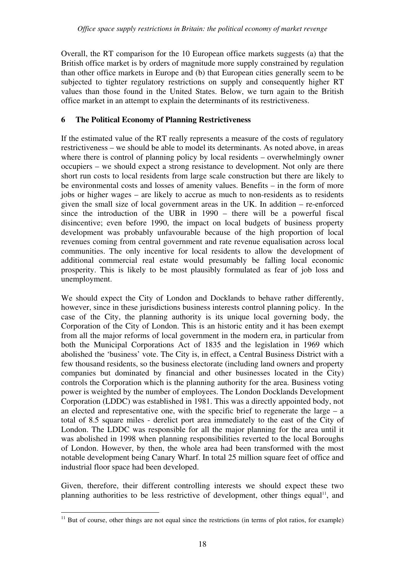Overall, the RT comparison for the 10 European office markets suggests (a) that the British office market is by orders of magnitude more supply constrained by regulation than other office markets in Europe and (b) that European cities generally seem to be subjected to tighter regulatory restrictions on supply and consequently higher RT values than those found in the United States. Below, we turn again to the British office market in an attempt to explain the determinants of its restrictiveness.

#### **6 The Political Economy of Planning Restrictiveness**

If the estimated value of the RT really represents a measure of the costs of regulatory restrictiveness – we should be able to model its determinants. As noted above, in areas where there is control of planning policy by local residents – overwhelmingly owner occupiers – we should expect a strong resistance to development. Not only are there short run costs to local residents from large scale construction but there are likely to be environmental costs and losses of amenity values. Benefits – in the form of more jobs or higher wages – are likely to accrue as much to non-residents as to residents given the small size of local government areas in the UK. In addition – re-enforced since the introduction of the UBR in 1990 – there will be a powerful fiscal disincentive; even before 1990, the impact on local budgets of business property development was probably unfavourable because of the high proportion of local revenues coming from central government and rate revenue equalisation across local communities. The only incentive for local residents to allow the development of additional commercial real estate would presumably be falling local economic prosperity. This is likely to be most plausibly formulated as fear of job loss and unemployment.

We should expect the City of London and Docklands to behave rather differently, however, since in these jurisdictions business interests control planning policy. In the case of the City, the planning authority is its unique local governing body, the Corporation of the City of London. This is an historic entity and it has been exempt from all the major reforms of local government in the modern era, in particular from both the Municipal Corporations Act of 1835 and the legislation in 1969 which abolished the 'business' vote. The City is, in effect, a Central Business District with a few thousand residents, so the business electorate (including land owners and property companies but dominated by financial and other businesses located in the City) controls the Corporation which is the planning authority for the area. Business voting power is weighted by the number of employees. The London Docklands Development Corporation (LDDC) was established in 1981. This was a directly appointed body, not an elected and representative one, with the specific brief to regenerate the large  $-$  a total of 8.5 square miles - derelict port area immediately to the east of the City of London. The LDDC was responsible for all the major planning for the area until it was abolished in 1998 when planning responsibilities reverted to the local Boroughs of London. However, by then, the whole area had been transformed with the most notable development being Canary Wharf. In total 25 million square feet of office and industrial floor space had been developed.

Given, therefore, their different controlling interests we should expect these two planning authorities to be less restrictive of development, other things equal<sup>11</sup>, and

 $\overline{a}$  $11$  But of course, other things are not equal since the restrictions (in terms of plot ratios, for example)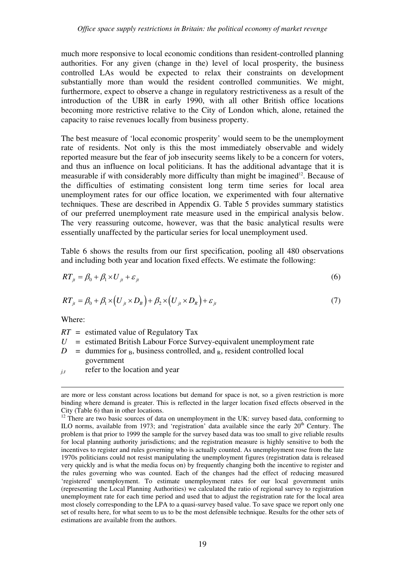much more responsive to local economic conditions than resident-controlled planning authorities. For any given (change in the) level of local prosperity, the business controlled LAs would be expected to relax their constraints on development substantially more than would the resident controlled communities. We might, furthermore, expect to observe a change in regulatory restrictiveness as a result of the introduction of the UBR in early 1990, with all other British office locations becoming more restrictive relative to the City of London which, alone, retained the capacity to raise revenues locally from business property.

The best measure of 'local economic prosperity' would seem to be the unemployment rate of residents. Not only is this the most immediately observable and widely reported measure but the fear of job insecurity seems likely to be a concern for voters, and thus an influence on local politicians. It has the additional advantage that it is measurable if with considerably more difficulty than might be imagined<sup>12</sup>. Because of the difficulties of estimating consistent long term time series for local area unemployment rates for our office location, we experimented with four alternative techniques. These are described in Appendix G. Table 5 provides summary statistics of our preferred unemployment rate measure used in the empirical analysis below. The very reassuring outcome, however, was that the basic analytical results were essentially unaffected by the particular series for local unemployment used.

Table 6 shows the results from our first specification, pooling all 480 observations and including both year and location fixed effects. We estimate the following:

$$
RT_{it} = \beta_0 + \beta_1 \times U_{it} + \varepsilon_{it}
$$
\n<sup>(6)</sup>

$$
RT_{ji} = \beta_0 + \beta_1 \times (U_{ji} \times D_B) + \beta_2 \times (U_{ji} \times D_R) + \varepsilon_{ji}
$$
\n<sup>(7)</sup>

Where:

-

*RT* = estimated value of Regulatory Tax

- $U =$  estimated British Labour Force Survey-equivalent unemployment rate
- $D =$  dummies for B, business controlled, and R, resident controlled local government
- *j,t* refer to the location and year

are more or less constant across locations but demand for space is not, so a given restriction is more binding where demand is greater. This is reflected in the larger location fixed effects observed in the City (Table 6) than in other locations.

<sup>&</sup>lt;sup>12</sup> There are two basic sources of data on unemployment in the UK: survey based data, conforming to ILO norms, available from 1973; and 'registration' data available since the early  $20<sup>th</sup>$  Century. The problem is that prior to 1999 the sample for the survey based data was too small to give reliable results for local planning authority jurisdictions; and the registration measure is highly sensitive to both the incentives to register and rules governing who is actually counted. As unemployment rose from the late 1970s politicians could not resist manipulating the unemployment figures (registration data is released very quickly and is what the media focus on) by frequently changing both the incentive to register and the rules governing who was counted. Each of the changes had the effect of reducing measured 'registered' unemployment. To estimate unemployment rates for our local government units (representing the Local Planning Authorities) we calculated the ratio of regional survey to registration unemployment rate for each time period and used that to adjust the registration rate for the local area most closely corresponding to the LPA to a quasi-survey based value. To save space we report only one set of results here, for what seem to us to be the most defensible technique. Results for the other sets of estimations are available from the authors.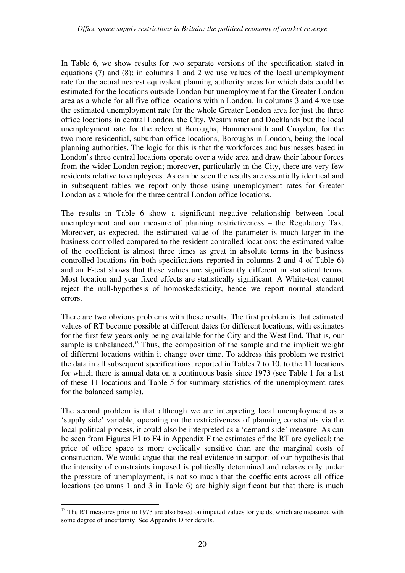In Table 6, we show results for two separate versions of the specification stated in equations (7) and (8); in columns 1 and 2 we use values of the local unemployment rate for the actual nearest equivalent planning authority areas for which data could be estimated for the locations outside London but unemployment for the Greater London area as a whole for all five office locations within London. In columns 3 and 4 we use the estimated unemployment rate for the whole Greater London area for just the three office locations in central London, the City, Westminster and Docklands but the local unemployment rate for the relevant Boroughs, Hammersmith and Croydon, for the two more residential, suburban office locations, Boroughs in London, being the local planning authorities. The logic for this is that the workforces and businesses based in London's three central locations operate over a wide area and draw their labour forces from the wider London region; moreover, particularly in the City, there are very few residents relative to employees. As can be seen the results are essentially identical and in subsequent tables we report only those using unemployment rates for Greater London as a whole for the three central London office locations.

The results in Table 6 show a significant negative relationship between local unemployment and our measure of planning restrictiveness – the Regulatory Tax. Moreover, as expected, the estimated value of the parameter is much larger in the business controlled compared to the resident controlled locations: the estimated value of the coefficient is almost three times as great in absolute terms in the business controlled locations (in both specifications reported in columns 2 and 4 of Table 6) and an F-test shows that these values are significantly different in statistical terms. Most location and year fixed effects are statistically significant. A White-test cannot reject the null-hypothesis of homoskedasticity, hence we report normal standard errors.

There are two obvious problems with these results. The first problem is that estimated values of RT become possible at different dates for different locations, with estimates for the first few years only being available for the City and the West End. That is, our sample is unbalanced.<sup>13</sup> Thus, the composition of the sample and the implicit weight of different locations within it change over time. To address this problem we restrict the data in all subsequent specifications, reported in Tables 7 to 10, to the 11 locations for which there is annual data on a continuous basis since 1973 (see Table 1 for a list of these 11 locations and Table 5 for summary statistics of the unemployment rates for the balanced sample).

The second problem is that although we are interpreting local unemployment as a 'supply side' variable, operating on the restrictiveness of planning constraints via the local political process, it could also be interpreted as a 'demand side' measure. As can be seen from Figures F1 to F4 in Appendix F the estimates of the RT are cyclical: the price of office space is more cyclically sensitive than are the marginal costs of construction. We would argue that the real evidence in support of our hypothesis that the intensity of constraints imposed is politically determined and relaxes only under the pressure of unemployment, is not so much that the coefficients across all office locations (columns 1 and 3 in Table 6) are highly significant but that there is much

 $\overline{a}$ <sup>13</sup> The RT measures prior to 1973 are also based on imputed values for yields, which are measured with some degree of uncertainty. See Appendix D for details.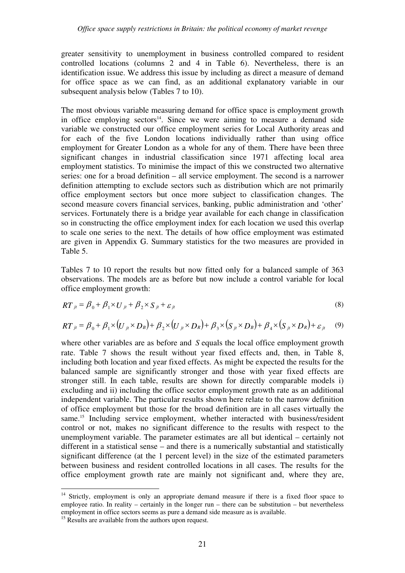greater sensitivity to unemployment in business controlled compared to resident controlled locations (columns 2 and 4 in Table 6). Nevertheless, there is an identification issue. We address this issue by including as direct a measure of demand for office space as we can find, as an additional explanatory variable in our subsequent analysis below (Tables 7 to 10).

The most obvious variable measuring demand for office space is employment growth in office employing sectors<sup>14</sup>. Since we were aiming to measure a demand side variable we constructed our office employment series for Local Authority areas and for each of the five London locations individually rather than using office employment for Greater London as a whole for any of them. There have been three significant changes in industrial classification since 1971 affecting local area employment statistics. To minimise the impact of this we constructed two alternative series: one for a broad definition – all service employment. The second is a narrower definition attempting to exclude sectors such as distribution which are not primarily office employment sectors but once more subject to classification changes. The second measure covers financial services, banking, public administration and 'other' services. Fortunately there is a bridge year available for each change in classification so in constructing the office employment index for each location we used this overlap to scale one series to the next. The details of how office employment was estimated are given in Appendix G. Summary statistics for the two measures are provided in Table 5.

Tables 7 to 10 report the results but now fitted only for a balanced sample of 363 observations. The models are as before but now include a control variable for local office employment growth:

$$
RT_{jt} = \beta_0 + \beta_1 \times U_{jt} + \beta_2 \times S_{jt} + \varepsilon_{jt}
$$
\n(8)

$$
RT_{jt} = \beta_0 + \beta_1 \times (U_{jt} \times D_B) + \beta_2 \times (U_{jt} \times D_R) + \beta_3 \times (S_{jt} \times D_B) + \beta_4 \times (S_{jt} \times D_R) + \varepsilon_{jt} \tag{9}
$$

where other variables are as before and *S* equals the local office employment growth rate. Table 7 shows the result without year fixed effects and, then, in Table 8, including both location and year fixed effects. As might be expected the results for the balanced sample are significantly stronger and those with year fixed effects are stronger still. In each table, results are shown for directly comparable models i) excluding and ii) including the office sector employment growth rate as an additional independent variable. The particular results shown here relate to the narrow definition of office employment but those for the broad definition are in all cases virtually the same.<sup>15</sup> Including service employment, whether interacted with business/resident control or not, makes no significant difference to the results with respect to the unemployment variable. The parameter estimates are all but identical – certainly not different in a statistical sense – and there is a numerically substantial and statistically significant difference (at the 1 percent level) in the size of the estimated parameters between business and resident controlled locations in all cases. The results for the office employment growth rate are mainly not significant and, where they are,

 $\overline{a}$ 

<sup>&</sup>lt;sup>14</sup> Strictly, employment is only an appropriate demand measure if there is a fixed floor space to employee ratio. In reality – certainly in the longer run – there can be substitution – but nevertheless employment in office sectors seems as pure a demand side measure as is available.

<sup>&</sup>lt;sup>15</sup> Results are available from the authors upon request.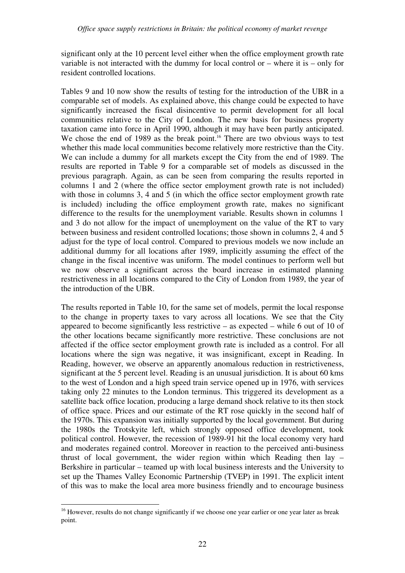significant only at the 10 percent level either when the office employment growth rate variable is not interacted with the dummy for local control or – where it is – only for resident controlled locations.

Tables 9 and 10 now show the results of testing for the introduction of the UBR in a comparable set of models. As explained above, this change could be expected to have significantly increased the fiscal disincentive to permit development for all local communities relative to the City of London. The new basis for business property taxation came into force in April 1990, although it may have been partly anticipated. We chose the end of 1989 as the break point.<sup>16</sup> There are two obvious ways to test whether this made local communities become relatively more restrictive than the City. We can include a dummy for all markets except the City from the end of 1989. The results are reported in Table 9 for a comparable set of models as discussed in the previous paragraph. Again, as can be seen from comparing the results reported in columns 1 and 2 (where the office sector employment growth rate is not included) with those in columns 3, 4 and 5 (in which the office sector employment growth rate is included) including the office employment growth rate, makes no significant difference to the results for the unemployment variable. Results shown in columns 1 and 3 do not allow for the impact of unemployment on the value of the RT to vary between business and resident controlled locations; those shown in columns 2, 4 and 5 adjust for the type of local control. Compared to previous models we now include an additional dummy for all locations after 1989, implicitly assuming the effect of the change in the fiscal incentive was uniform. The model continues to perform well but we now observe a significant across the board increase in estimated planning restrictiveness in all locations compared to the City of London from 1989, the year of the introduction of the UBR.

The results reported in Table 10, for the same set of models, permit the local response to the change in property taxes to vary across all locations. We see that the City appeared to become significantly less restrictive – as expected – while 6 out of 10 of the other locations became significantly more restrictive. These conclusions are not affected if the office sector employment growth rate is included as a control. For all locations where the sign was negative, it was insignificant, except in Reading. In Reading, however, we observe an apparently anomalous reduction in restrictiveness, significant at the 5 percent level. Reading is an unusual jurisdiction. It is about 60 kms to the west of London and a high speed train service opened up in 1976, with services taking only 22 minutes to the London terminus. This triggered its development as a satellite back office location, producing a large demand shock relative to its then stock of office space. Prices and our estimate of the RT rose quickly in the second half of the 1970s. This expansion was initially supported by the local government. But during the 1980s the Trotskyite left, which strongly opposed office development, took political control. However, the recession of 1989-91 hit the local economy very hard and moderates regained control. Moreover in reaction to the perceived anti-business thrust of local government, the wider region within which Reading then lay – Berkshire in particular – teamed up with local business interests and the University to set up the Thames Valley Economic Partnership (TVEP) in 1991. The explicit intent of this was to make the local area more business friendly and to encourage business

 $\overline{a}$ <sup>16</sup> However, results do not change significantly if we choose one year earlier or one year later as break point.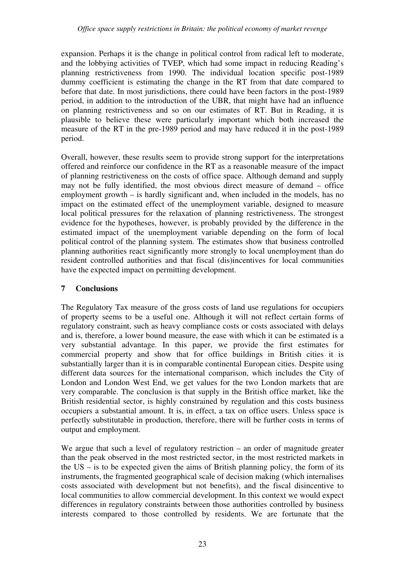expansion. Perhaps it is the change in political control from radical left to moderate, and the lobbying activities of TVEP, which had some impact in reducing Reading's planning restrictiveness from 1990. The individual location specific post-1989 dummy coefficient is estimating the change in the RT from that date compared to before that date. In most jurisdictions, there could have been factors in the post-1989 period, in addition to the introduction of the UBR, that might have had an influence on planning restrictiveness and so on our estimates of RT. But in Reading, it is plausible to believe these were particularly important which both increased the measure of the RT in the pre-1989 period and may have reduced it in the post-1989 period.

Overall, however, these results seem to provide strong support for the interpretations offered and reinforce our confidence in the RT as a reasonable measure of the impact of planning restrictiveness on the costs of office space. Although demand and supply may not be fully identified, the most obvious direct measure of demand – office employment growth – is hardly significant and, when included in the models, has no impact on the estimated effect of the unemployment variable, designed to measure local political pressures for the relaxation of planning restrictiveness. The strongest evidence for the hypotheses, however, is probably provided by the difference in the estimated impact of the unemployment variable depending on the form of local political control of the planning system. The estimates show that business controlled planning authorities react significantly more strongly to local unemployment than do resident controlled authorities and that fiscal (dis)incentives for local communities have the expected impact on permitting development.

#### **7 Conclusions**

The Regulatory Tax measure of the gross costs of land use regulations for occupiers of property seems to be a useful one. Although it will not reflect certain forms of regulatory constraint, such as heavy compliance costs or costs associated with delays and is, therefore, a lower bound measure, the ease with which it can be estimated is a very substantial advantage. In this paper, we provide the first estimates for commercial property and show that for office buildings in British cities it is substantially larger than it is in comparable continental European cities. Despite using different data sources for the international comparison, which includes the City of London and London West End, we get values for the two London markets that are very comparable. The conclusion is that supply in the British office market, like the British residential sector, is highly constrained by regulation and this costs business occupiers a substantial amount. It is, in effect, a tax on office users. Unless space is perfectly substitutable in production, therefore, there will be further costs in terms of output and employment.

We argue that such a level of regulatory restriction – an order of magnitude greater than the peak observed in the most restricted sector, in the most restricted markets in the US – is to be expected given the aims of British planning policy, the form of its instruments, the fragmented geographical scale of decision making (which internalises costs associated with development but not benefits), and the fiscal disincentive to local communities to allow commercial development. In this context we would expect differences in regulatory constraints between those authorities controlled by business interests compared to those controlled by residents. We are fortunate that the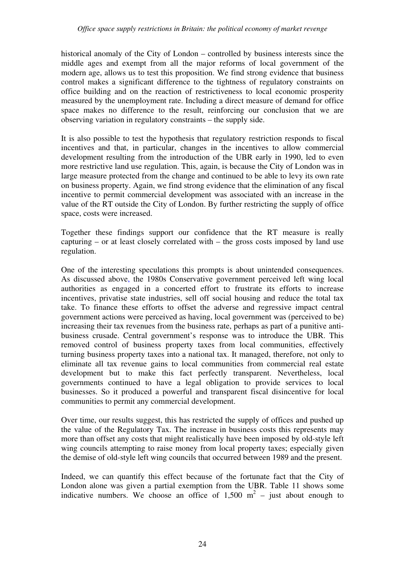historical anomaly of the City of London – controlled by business interests since the middle ages and exempt from all the major reforms of local government of the modern age, allows us to test this proposition. We find strong evidence that business control makes a significant difference to the tightness of regulatory constraints on office building and on the reaction of restrictiveness to local economic prosperity measured by the unemployment rate. Including a direct measure of demand for office space makes no difference to the result, reinforcing our conclusion that we are observing variation in regulatory constraints – the supply side.

It is also possible to test the hypothesis that regulatory restriction responds to fiscal incentives and that, in particular, changes in the incentives to allow commercial development resulting from the introduction of the UBR early in 1990, led to even more restrictive land use regulation. This, again, is because the City of London was in large measure protected from the change and continued to be able to levy its own rate on business property. Again, we find strong evidence that the elimination of any fiscal incentive to permit commercial development was associated with an increase in the value of the RT outside the City of London. By further restricting the supply of office space, costs were increased.

Together these findings support our confidence that the RT measure is really capturing – or at least closely correlated with – the gross costs imposed by land use regulation.

One of the interesting speculations this prompts is about unintended consequences. As discussed above, the 1980s Conservative government perceived left wing local authorities as engaged in a concerted effort to frustrate its efforts to increase incentives, privatise state industries, sell off social housing and reduce the total tax take. To finance these efforts to offset the adverse and regressive impact central government actions were perceived as having, local government was (perceived to be) increasing their tax revenues from the business rate, perhaps as part of a punitive antibusiness crusade. Central government's response was to introduce the UBR. This removed control of business property taxes from local communities, effectively turning business property taxes into a national tax. It managed, therefore, not only to eliminate all tax revenue gains to local communities from commercial real estate development but to make this fact perfectly transparent. Nevertheless, local governments continued to have a legal obligation to provide services to local businesses. So it produced a powerful and transparent fiscal disincentive for local communities to permit any commercial development.

Over time, our results suggest, this has restricted the supply of offices and pushed up the value of the Regulatory Tax. The increase in business costs this represents may more than offset any costs that might realistically have been imposed by old-style left wing councils attempting to raise money from local property taxes; especially given the demise of old-style left wing councils that occurred between 1989 and the present.

Indeed, we can quantify this effect because of the fortunate fact that the City of London alone was given a partial exemption from the UBR. Table 11 shows some indicative numbers. We choose an office of  $1,500 \text{ m}^2$  – just about enough to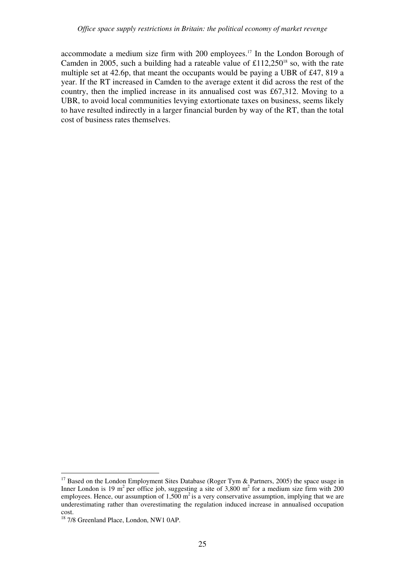accommodate a medium size firm with 200 employees.<sup>17</sup> In the London Borough of Camden in 2005, such a building had a rateable value of  $£112,250^{18}$  so, with the rate multiple set at 42.6p, that meant the occupants would be paying a UBR of £47, 819 a year. If the RT increased in Camden to the average extent it did across the rest of the country, then the implied increase in its annualised cost was £67,312. Moving to a UBR, to avoid local communities levying extortionate taxes on business, seems likely to have resulted indirectly in a larger financial burden by way of the RT, than the total cost of business rates themselves.

 $\overline{a}$ <sup>17</sup> Based on the London Employment Sites Database (Roger Tym & Partners, 2005) the space usage in Inner London is 19 m<sup>2</sup> per office job, suggesting a site of 3,800 m<sup>2</sup> for a medium size firm with 200 employees. Hence, our assumption of  $1,500 \text{ m}^2$  is a very conservative assumption, implying that we are underestimating rather than overestimating the regulation induced increase in annualised occupation cost.

<sup>&</sup>lt;sup>18</sup> 7/8 Greenland Place, London, NW1 0AP.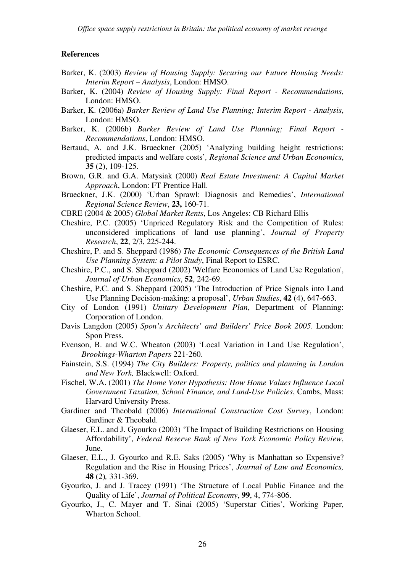#### **References**

- Barker, K. (2003) *Review of Housing Supply: Securing our Future Housing Needs: Interim Report – Analysis*, London: HMSO.
- Barker, K. (2004) *Review of Housing Supply: Final Report Recommendations*, London: HMSO.
- Barker, K. (2006a) *Barker Review of Land Use Planning; Interim Report Analysis*, London: HMSO.
- Barker, K. (2006b) *Barker Review of Land Use Planning; Final Report Recommendations*, London: HMSO.
- Bertaud, A. and J.K. Brueckner (2005) 'Analyzing building height restrictions: predicted impacts and welfare costs'*, Regional Science and Urban Economics*, **35** (2), 109-125.
- Brown, G.R. and G.A. Matysiak (2000) *Real Estate Investment: A Capital Market Approach*, London: FT Prentice Hall.
- Brueckner, J.K. (2000) 'Urban Sprawl: Diagnosis and Remedies', *International Regional Science Review*, **23,** 160-71.
- CBRE (2004 & 2005) *Global Market Rents*, Los Angeles: CB Richard Ellis
- Cheshire, P.C. (2005) 'Unpriced Regulatory Risk and the Competition of Rules: unconsidered implications of land use planning', *Journal of Property Research*, **22**, 2/3, 225-244.
- Cheshire, P. and S. Sheppard (1986) *The Economic Consequences of the British Land Use Planning System: a Pilot Study*, Final Report to ESRC.
- Cheshire, P.C., and S. Sheppard (2002) 'Welfare Economics of Land Use Regulation', *Journal of Urban Economics*, **52**, 242-69.
- Cheshire, P.C. and S. Sheppard (2005) 'The Introduction of Price Signals into Land Use Planning Decision-making: a proposal', *Urban Studies*, **42** (4), 647-663.
- City of London (1991) *Unitary Development Plan*, Department of Planning: Corporation of London.
- Davis Langdon (2005) *Spon's Architects' and Builders' Price Book 2005*. London: Spon Press.
- Evenson, B. and W.C. Wheaton (2003) 'Local Variation in Land Use Regulation', *Brookings-Wharton Papers* 221-260.
- Fainstein, S.S. (1994) *The City Builders: Property, politics and planning in London and New York,* Blackwell: Oxford.
- Fischel, W.A. (2001) *The Home Voter Hypothesis: How Home Values Influence Local Government Taxation, School Finance, and Land-Use Policies*, Cambs, Mass: Harvard University Press.
- Gardiner and Theobald (2006) *International Construction Cost Survey*, London: Gardiner & Theobald.
- Glaeser, E.L. and J. Gyourko (2003) 'The Impact of Building Restrictions on Housing Affordability', *Federal Reserve Bank of New York Economic Policy Review*, June.
- Glaeser, E.L., J. Gyourko and R.E. Saks (2005) 'Why is Manhattan so Expensive? Regulation and the Rise in Housing Prices', *Journal of Law and Economics,*  **48** (2)*,* 331-369.
- Gyourko, J. and J. Tracey (1991) 'The Structure of Local Public Finance and the Quality of Life', *Journal of Political Economy*, **99**, 4, 774-806.
- Gyourko, J., C. Mayer and T. Sinai (2005) 'Superstar Cities', Working Paper, Wharton School.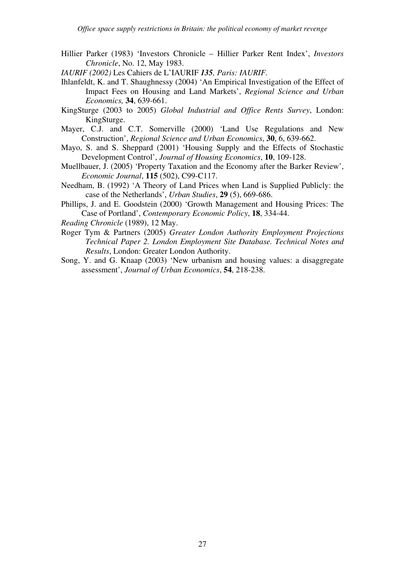- Hillier Parker (1983) 'Investors Chronicle Hillier Parker Rent Index', *Investors Chronicle*, No. 12, May 1983.
- *IAURIF (2002)* Les Cahiers de L'IAURIF *135, Paris: IAURIF.*
- Ihlanfeldt, K. and T. Shaughnessy (2004) 'An Empirical Investigation of the Effect of Impact Fees on Housing and Land Markets', *Regional Science and Urban Economics,* **34**, 639-661.
- KingSturge (2003 to 2005) *Global Industrial and Office Rents Survey*, London: KingSturge.
- Mayer, C.J. and C.T. Somerville (2000) 'Land Use Regulations and New Construction', *Regional Science and Urban Economics*, **30**, 6, 639-662.
- Mayo, S. and S. Sheppard (2001) 'Housing Supply and the Effects of Stochastic Development Control', *Journal of Housing Economics*, **10**, 109-128.
- Muellbauer, J. (2005) 'Property Taxation and the Economy after the Barker Review', *Economic Journal*, **115** (502), C99-C117.
- Needham, B. (1992) 'A Theory of Land Prices when Land is Supplied Publicly: the case of the Netherlands', *Urban Studies*, **29** (5), 669-686.
- Phillips, J. and E. Goodstein (2000) 'Growth Management and Housing Prices: The Case of Portland', *Contemporary Economic Policy*, **18**, 334-44.

*Reading Chronicle* (1989), 12 May.

- Roger Tym & Partners (2005) *Greater London Authority Employment Projections Technical Paper 2. London Employment Site Database. Technical Notes and Results*, London: Greater London Authority.
- Song, Y. and G. Knaap (2003) 'New urbanism and housing values: a disaggregate assessment', *Journal of Urban Economics*, **54**, 218-238.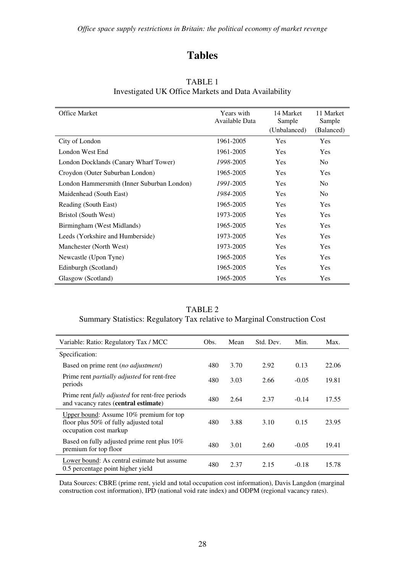## **Tables**

| <b>Office Market</b>                       | Years with<br>Available Data | 14 Market<br>Sample | 11 Market<br>Sample |
|--------------------------------------------|------------------------------|---------------------|---------------------|
|                                            |                              | (Unbalanced)        | (Balanced)          |
| City of London                             | 1961-2005                    | Yes                 | Yes                 |
| London West End                            | 1961-2005                    | Yes                 | <b>Yes</b>          |
| London Docklands (Canary Wharf Tower)      | 1998-2005                    | <b>Yes</b>          | N <sub>0</sub>      |
| Croydon (Outer Suburban London)            | 1965-2005                    | <b>Yes</b>          | <b>Yes</b>          |
| London Hammersmith (Inner Suburban London) | 1991-2005                    | <b>Yes</b>          | N <sub>0</sub>      |
| Maidenhead (South East)                    | 1984-2005                    | <b>Yes</b>          | N <sub>0</sub>      |
| Reading (South East)                       | 1965-2005                    | Yes                 | Yes                 |
| Bristol (South West)                       | 1973-2005                    | Yes                 | <b>Yes</b>          |
| Birmingham (West Midlands)                 | 1965-2005                    | Yes                 | <b>Yes</b>          |
| Leeds (Yorkshire and Humberside)           | 1973-2005                    | <b>Yes</b>          | <b>Yes</b>          |
| Manchester (North West)                    | 1973-2005                    | <b>Yes</b>          | <b>Yes</b>          |
| Newcastle (Upon Tyne)                      | 1965-2005                    | <b>Yes</b>          | <b>Yes</b>          |
| Edinburgh (Scotland)                       | 1965-2005                    | <b>Yes</b>          | Yes                 |
| Glasgow (Scotland)                         | 1965-2005                    | Yes                 | Yes                 |

#### TABLE 1 Investigated UK Office Markets and Data Availability

TABLE 2 Summary Statistics: Regulatory Tax relative to Marginal Construction Cost

| Variable: Ratio: Regulatory Tax / MCC                                                                          | Obs. | Mean | Std. Dev. | Min.    | Max.  |
|----------------------------------------------------------------------------------------------------------------|------|------|-----------|---------|-------|
| Specification:                                                                                                 |      |      |           |         |       |
| Based on prime rent ( <i>no adjustment</i> )                                                                   | 480  | 3.70 | 2.92      | 0.13    | 22.06 |
| Prime rent <i>partially adjusted</i> for rent-free<br>periods                                                  | 480  | 3.03 | 2.66      | $-0.05$ | 19.81 |
| Prime rent <i>fully adjusted</i> for rent-free periods<br>and vacancy rates (central estimate)                 | 480  | 2.64 | 2.37      | $-0.14$ | 17.55 |
| Upper bound: Assume $10\%$ premium for top<br>floor plus 50% of fully adjusted total<br>occupation cost markup | 480  | 3.88 | 3.10      | 0.15    | 23.95 |
| Based on fully adjusted prime rent plus 10%<br>premium for top floor                                           | 480  | 3.01 | 2.60      | $-0.05$ | 19.41 |
| Lower bound: As central estimate but assume<br>0.5 percentage point higher yield                               | 480  | 2.37 | 2.15      | $-0.18$ | 15.78 |

Data Sources: CBRE (prime rent, yield and total occupation cost information), Davis Langdon (marginal construction cost information), IPD (national void rate index) and ODPM (regional vacancy rates).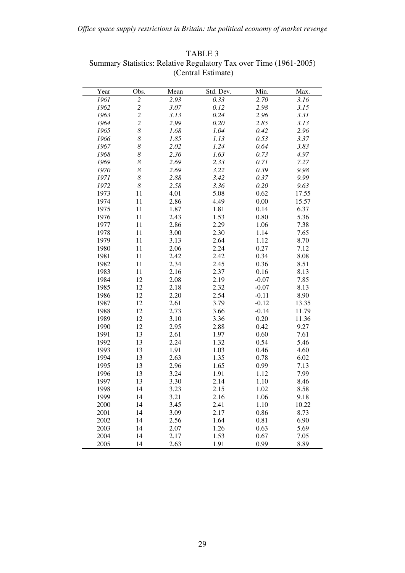| Year | Obs.             | Mean | Std. Dev. | Min.     | Max.  |
|------|------------------|------|-----------|----------|-------|
| 1961 | $\overline{c}$   | 2.93 | 0.33      | 2.70     | 3.16  |
| 1962 | $\overline{c}$   | 3.07 | 0.12      | 2.98     | 3.15  |
| 1963 | $\overline{c}$   | 3.13 | 0.24      | 2.96     | 3.31  |
| 1964 | $\overline{c}$   | 2.99 | 0.20      | 2.85     | 3.13  |
| 1965 | 8                | 1.68 | 1.04      | 0.42     | 2.96  |
| 1966 | 8                | 1.85 | 1.13      | 0.53     | 3.37  |
| 1967 | 8                | 2.02 | 1.24      | 0.64     | 3.83  |
| 1968 | 8                | 2.36 | 1.63      | 0.73     | 4.97  |
| 1969 | $\boldsymbol{8}$ | 2.69 | 2.33      | 0.71     | 7.27  |
| 1970 | 8                | 2.69 | 3.22      | 0.39     | 9.98  |
| 1971 | 8                | 2.88 | 3.42      | 0.37     | 9.99  |
| 1972 | $\boldsymbol{8}$ | 2.58 | 3.36      | $0.20\,$ | 9.63  |
| 1973 | 11               | 4.01 | 5.08      | 0.62     | 17.55 |
| 1974 | 11               | 2.86 | 4.49      | $0.00\,$ | 15.57 |
| 1975 | 11               | 1.87 | 1.81      | 0.14     | 6.37  |
| 1976 | 11               | 2.43 | 1.53      | 0.80     | 5.36  |
| 1977 | 11               | 2.86 | 2.29      | 1.06     | 7.38  |
| 1978 | 11               | 3.00 | 2.30      | 1.14     | 7.65  |
| 1979 | 11               | 3.13 | 2.64      | 1.12     | 8.70  |
| 1980 | 11               | 2.06 | 2.24      | 0.27     | 7.12  |
| 1981 | 11               | 2.42 | 2.42      | 0.34     | 8.08  |
| 1982 | 11               | 2.34 | 2.45      | 0.36     | 8.51  |
| 1983 | 11               | 2.16 | 2.37      | 0.16     | 8.13  |
| 1984 | 12               | 2.08 | 2.19      | $-0.07$  | 7.85  |
| 1985 | 12               | 2.18 | 2.32      | $-0.07$  | 8.13  |
| 1986 | 12               | 2.20 | 2.54      | $-0.11$  | 8.90  |
| 1987 | 12               | 2.61 | 3.79      | $-0.12$  | 13.35 |
| 1988 | 12               | 2.73 | 3.66      | $-0.14$  | 11.79 |
| 1989 | 12               | 3.10 | 3.36      | 0.20     | 11.36 |
| 1990 | 12               | 2.95 | 2.88      | 0.42     | 9.27  |
| 1991 | 13               | 2.61 | 1.97      | 0.60     | 7.61  |
| 1992 | 13               | 2.24 | 1.32      | 0.54     | 5.46  |
| 1993 | 13               | 1.91 | 1.03      | 0.46     | 4.60  |
| 1994 | 13               | 2.63 | 1.35      | 0.78     | 6.02  |
| 1995 | 13               | 2.96 | 1.65      | 0.99     | 7.13  |
| 1996 | 13               | 3.24 | 1.91      | 1.12     | 7.99  |
| 1997 | 13               | 3.30 | 2.14      | 1.10     | 8.46  |
| 1998 | 14               | 3.23 | 2.15      | 1.02     | 8.58  |
| 1999 | 14               | 3.21 | 2.16      | 1.06     | 9.18  |
| 2000 | 14               | 3.45 | 2.41      | 1.10     | 10.22 |
| 2001 | 14               | 3.09 | 2.17      | 0.86     | 8.73  |
| 2002 | 14               | 2.56 | 1.64      | 0.81     | 6.90  |
| 2003 | 14               | 2.07 | 1.26      | 0.63     | 5.69  |
| 2004 | 14               | 2.17 | 1.53      | 0.67     | 7.05  |
| 2005 | 14               | 2.63 | 1.91      | 0.99     | 8.89  |

TABLE 3 Summary Statistics: Relative Regulatory Tax over Time (1961-2005) (Central Estimate)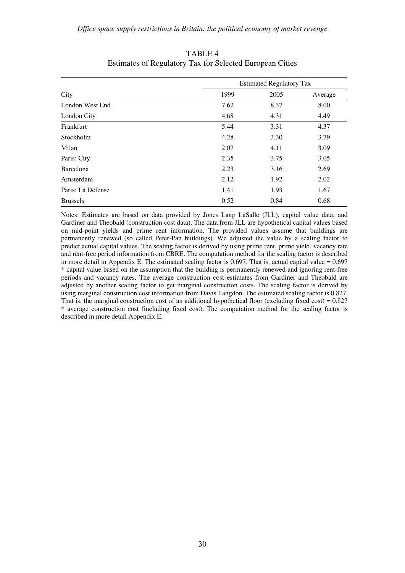|                   | <b>Estimated Regulatory Tax</b> |      |         |  |  |
|-------------------|---------------------------------|------|---------|--|--|
| City              | 1999                            | 2005 | Average |  |  |
| London West End   | 7.62                            | 8.37 | 8.00    |  |  |
| London City       | 4.68                            | 4.31 | 4.49    |  |  |
| Frankfurt         | 5.44                            | 3.31 | 4.37    |  |  |
| Stockholm         | 4.28                            | 3.30 | 3.79    |  |  |
| Milan             | 2.07                            | 4.11 | 3.09    |  |  |
| Paris: City       | 2.35                            | 3.75 | 3.05    |  |  |
| Barcelona         | 2.23                            | 3.16 | 2.69    |  |  |
| Amsterdam         | 2.12                            | 1.92 | 2.02    |  |  |
| Paris: La Defense | 1.41                            | 1.93 | 1.67    |  |  |
| <b>Brussels</b>   | 0.52                            | 0.84 | 0.68    |  |  |

TABLE 4 Estimates of Regulatory Tax for Selected European Cities

Notes: Estimates are based on data provided by Jones Lang LaSalle (JLL), capital value data, and Gardiner and Theobald (construction cost data). The data from JLL are hypothetical capital values based on mid-point yields and prime rent information. The provided values assume that buildings are permanently renewed (so called Peter-Pan buildings). We adjusted the value by a scaling factor to predict actual capital values. The scaling factor is derived by using prime rent, prime yield, vacancy rate and rent-free period information from CBRE. The computation method for the scaling factor is described in more detail in Appendix E. The estimated scaling factor is 0.697. That is, actual capital value  $= 0.697$ \* capital value based on the assumption that the building is permanently renewed and ignoring rent-free periods and vacancy rates. The average construction cost estimates from Gardiner and Theobald are adjusted by another scaling factor to get marginal construction costs. The scaling factor is derived by using marginal construction cost information from Davis Langdon. The estimated scaling factor is 0.827. That is, the marginal construction cost of an additional hypothetical floor (excluding fixed cost) =  $0.827$ \* average construction cost (including fixed cost). The computation method for the scaling factor is described in more detail Appendix E.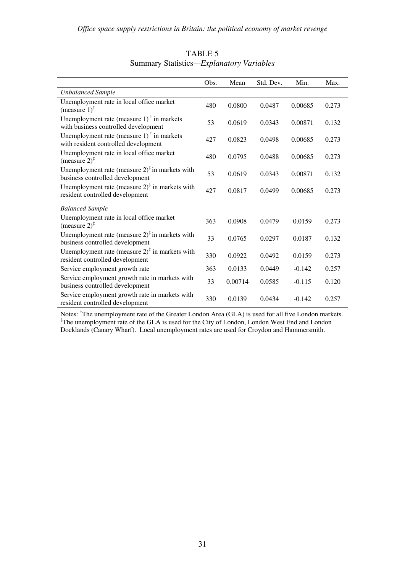|                                                                                                                  | Obs. | Mean    | Std. Dev. | Min.     | Max.  |
|------------------------------------------------------------------------------------------------------------------|------|---------|-----------|----------|-------|
| <b>Unbalanced Sample</b>                                                                                         |      |         |           |          |       |
| Unemployment rate in local office market<br>(measure $1$ ) <sup>†</sup>                                          | 480  | 0.0800  | 0.0487    | 0.00685  | 0.273 |
| Unemployment rate (measure 1) $\dagger$ in markets<br>with business controlled development                       | 53   | 0.0619  | 0.0343    | 0.00871  | 0.132 |
| Unemployment rate (measure 1) <sup><math>\dagger</math></sup> in markets<br>with resident controlled development | 427  | 0.0823  | 0.0498    | 0.00685  | 0.273 |
| Unemployment rate in local office market<br>(measure $2)^{\ddagger}$                                             | 480  | 0.0795  | 0.0488    | 0.00685  | 0.273 |
| Unemployment rate (measure $2^{\dagger}$ in markets with<br>business controlled development                      | 53   | 0.0619  | 0.0343    | 0.00871  | 0.132 |
| Unemployment rate (measure $2^{\dagger}$ in markets with<br>resident controlled development                      | 427  | 0.0817  | 0.0499    | 0.00685  | 0.273 |
| <b>Balanced Sample</b>                                                                                           |      |         |           |          |       |
| Unemployment rate in local office market<br>(measure $2$ ) <sup>‡</sup>                                          | 363  | 0.0908  | 0.0479    | 0.0159   | 0.273 |
| Unemployment rate (measure $2^{\dagger}$ in markets with<br>business controlled development                      | 33   | 0.0765  | 0.0297    | 0.0187   | 0.132 |
| Unemployment rate (measure $2^{\dagger}$ ) in markets with<br>resident controlled development                    | 330  | 0.0922  | 0.0492    | 0.0159   | 0.273 |
| Service employment growth rate                                                                                   | 363  | 0.0133  | 0.0449    | $-0.142$ | 0.257 |
| Service employment growth rate in markets with<br>business controlled development                                | 33   | 0.00714 | 0.0585    | $-0.115$ | 0.120 |
| Service employment growth rate in markets with<br>resident controlled development                                | 330  | 0.0139  | 0.0434    | $-0.142$ | 0.257 |

TABLE 5 Summary Statistics*—Explanatory Variables* 

Notes: †The unemployment rate of the Greater London Area (GLA) is used for all five London markets. ‡The unemployment rate of the GLA is used for the City of London, London West End and London Docklands (Canary Wharf). Local unemployment rates are used for Croydon and Hammersmith.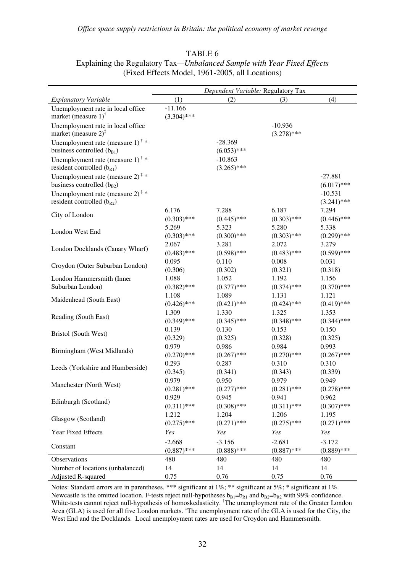|                                                                                                   | Dependent Variable: Regulatory Tax |                            |                            |                            |
|---------------------------------------------------------------------------------------------------|------------------------------------|----------------------------|----------------------------|----------------------------|
| <b>Explanatory Variable</b>                                                                       | (1)                                | (2)                        | (3)                        | (4)                        |
| Unemployment rate in local office                                                                 | $-11.166$                          |                            |                            |                            |
| market (measure $1$ ) <sup>†</sup>                                                                | $(3.304)$ ***                      |                            |                            |                            |
| Unemployment rate in local office<br>market (measure $2$ ) <sup>‡</sup>                           |                                    |                            | $-10.936$<br>$(3.278)$ *** |                            |
| Unemployment rate (measure 1) <sup><math>\dagger</math></sup> *<br>business controlled $(b_{B1})$ |                                    | $-28.369$<br>$(6.053)$ *** |                            |                            |
| Unemployment rate (measure 1) <sup><math>\dagger</math></sup> *<br>resident controlled $(b_{R1})$ |                                    | $-10.863$<br>$(3.265)$ *** |                            |                            |
| Unemployment rate (measure 2) <sup><math>#</math>*</sup><br>business controlled $(b_{B2})$        |                                    |                            |                            | $-27.881$<br>$(6.017)$ *** |
| Unemployment rate (measure 2) <sup><math>#</math>*</sup><br>resident controlled $(b_{R2})$        |                                    |                            |                            | $-10.531$<br>$(3.241)$ *** |
| City of London                                                                                    | 6.176<br>$(0.303)$ ***             | 7.288<br>$(0.445)$ ***     | 6.187<br>$(0.303)$ ***     | 7.294<br>$(0.446)$ ***     |
| London West End                                                                                   | 5.269<br>$(0.303)$ ***             | 5.323<br>$(0.300)$ ***     | 5.280<br>$(0.303)$ ***     | 5.338<br>$(0.299)$ ***     |
| London Docklands (Canary Wharf)                                                                   | 2.067<br>$(0.483)$ ***             | 3.281<br>$(0.598)$ ***     | 2.072<br>$(0.483)$ ***     | 3.279<br>$(0.599)$ ***     |
| Croydon (Outer Suburban London)                                                                   | 0.095<br>(0.306)                   | 0.110<br>(0.302)           | 0.008<br>(0.321)           | 0.031<br>(0.318)           |
| London Hammersmith (Inner                                                                         | 1.088                              | 1.052                      | 1.192                      | 1.156                      |
| Suburban London)                                                                                  | $(0.382)$ ***                      | $(0.377)$ ***              | $(0.374)$ ***              | $(0.370)$ ***              |
| Maidenhead (South East)                                                                           | 1.108                              | 1.089                      | 1.131                      | 1.121                      |
|                                                                                                   | $(0.426)$ ***                      | $(0.421)$ ***              | $(0.424)$ ***              | $(0.419)$ ***              |
| Reading (South East)                                                                              | 1.309                              | 1.330                      | 1.325                      | 1.353                      |
|                                                                                                   | $(0.349)$ ***                      | $(0.345)$ ***              | $(0.348)$ ***              | $(0.344)$ ***              |
| Bristol (South West)                                                                              | 0.139                              | 0.130                      | 0.153                      | 0.150                      |
|                                                                                                   | (0.329)                            | (0.325)                    | (0.328)                    | (0.325)                    |
| Birmingham (West Midlands)                                                                        | 0.979                              | 0.986                      | 0.984                      | 0.993                      |
|                                                                                                   | $(0.270)$ ***                      | $(0.267)$ ***              | $(0.270)$ ***              | $(0.267)$ ***              |
| Leeds (Yorkshire and Humberside)                                                                  | 0.293                              | 0.287                      | 0.310                      | 0.310                      |
|                                                                                                   | (0.345)                            | (0.341)                    | (0.343)                    | (0.339)                    |
| Manchester (North West)                                                                           | 0.979                              | 0.950                      | 0.979                      | 0.949                      |
|                                                                                                   | $(0.281)$ ***                      | $(0.277)$ ***              | $(0.281)$ ***              | $(0.278)$ ***              |
| Edinburgh (Scotland)                                                                              | 0.929                              | 0.945                      | 0.941                      | 0.962                      |
|                                                                                                   | $(0.311)$ ***                      | $(0.308)$ ***              | $(0.311)$ ***              | $(0.307)$ ***<br>1.195     |
| Glasgow (Scotland)                                                                                | 1.212<br>$(0.275)$ ***             | 1.204<br>$(0.271)$ ***     | 1.206<br>$(0.275)$ ***     | $(0.271)$ ***              |
| Year Fixed Effects                                                                                | Yes                                | Yes                        | Yes                        | Yes                        |
|                                                                                                   |                                    |                            |                            |                            |
| Constant                                                                                          | $-2.668$<br>$(0.887)$ ***          | $-3.156$<br>$(0.888)$ ***  | $-2.681$<br>$(0.887)$ ***  | $-3.172$<br>$(0.889)$ ***  |
| Observations                                                                                      | 480                                | 480                        | 480                        | 480                        |
| Number of locations (unbalanced)                                                                  | 14                                 | 14                         | 14                         | 14                         |
| Adjusted R-squared                                                                                | 0.75                               | 0.76                       | 0.75                       | 0.76                       |

#### TABLE 6 Explaining the Regulatory Tax*—Unbalanced Sample with Year Fixed Effects* (Fixed Effects Model, 1961-2005, all Locations)

Notes: Standard errors are in parentheses. \*\*\* significant at 1%; \*\* significant at 5%; \* significant at 1%. Newcastle is the omitted location. F-tests reject null-hypotheses  $b_{B1}=b_{R1}$  and  $b_{B2}=b_{R2}$  with 99% confidence. White-tests cannot reject null-hypothesis of homoskedasticity. <sup>†</sup>The unemployment rate of the Greater London Area (GLA) is used for all five London markets. <sup>‡</sup>The unemployment rate of the GLA is used for the City, the West End and the Docklands. Local unemployment rates are used for Croydon and Hammersmith.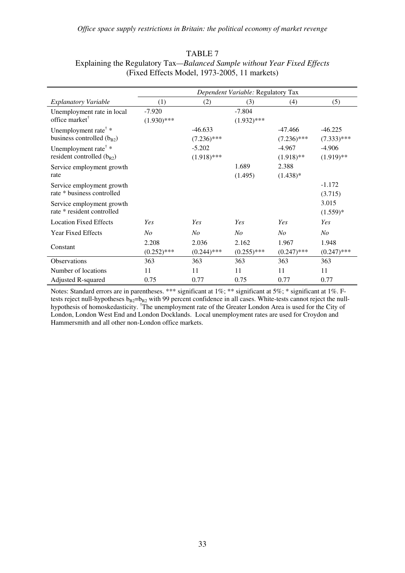|                                                     | Dependent Variable: Regulatory Tax |                |                |                |                |
|-----------------------------------------------------|------------------------------------|----------------|----------------|----------------|----------------|
| <b>Explanatory Variable</b>                         | (1)                                | (2)            | (3)            | (4)            | (5)            |
| Unemployment rate in local                          | $-7.920$                           |                | $-7.804$       |                |                |
| office market <sup>†</sup>                          | $(1.930)$ ***                      |                | $(1.932)$ ***  |                |                |
| Unemployment rate <sup><math>\dagger</math></sup> * |                                    | $-46.633$      |                | -47.466        | $-46.225$      |
| business controlled $(b_{B2})$                      |                                    | $(7.236)$ ***  |                | $(7.236)$ ***  | $(7.333)$ ***  |
| Unemployment rate <sup>†</sup> *                    |                                    | $-5.202$       |                | $-4.967$       | $-4.906$       |
| resident controlled $(b_{R2})$                      |                                    | $(1.918)$ ***  |                | $(1.918)$ **   | $(1.919)**$    |
| Service employment growth                           |                                    |                | 1.689          | 2.388          |                |
| rate                                                |                                    |                | (1.495)        | $(1.438)*$     |                |
| Service employment growth                           |                                    |                |                |                | $-1.172$       |
| rate * business controlled                          |                                    |                |                |                | (3.715)        |
| Service employment growth                           |                                    |                |                |                | 3.015          |
| rate * resident controlled                          |                                    |                |                |                | $(1.559)*$     |
| <b>Location Fixed Effects</b>                       | Yes                                | Yes            | Yes            | Yes            | Yes            |
| <b>Year Fixed Effects</b>                           | N <sub>o</sub>                     | N <sub>O</sub> | N <sub>O</sub> | N <sub>O</sub> | N <sub>O</sub> |
|                                                     | 2.208                              | 2.036          | 2.162          | 1.967          | 1.948          |
| Constant                                            | $(0.252)$ ***                      | $(0.244)$ ***  | $(0.255)$ ***  | $(0.247)$ ***  | $(0.247)$ ***  |
| Observations                                        | 363                                | 363            | 363            | 363            | 363            |
| Number of locations                                 | 11                                 | 11             | 11             | 11             | 11             |
| Adjusted R-squared                                  | 0.75                               | 0.77           | 0.75           | 0.77           | 0.77           |

#### TABLE 7 Explaining the Regulatory Tax*—Balanced Sample without Year Fixed Effects* (Fixed Effects Model, 1973-2005, 11 markets)

Notes: Standard errors are in parentheses. \*\*\* significant at 1%; \*\* significant at 5%; \* significant at 1%. Ftests reject null-hypotheses  $b_{B2}=b_{R2}$  with 99 percent confidence in all cases. White-tests cannot reject the nullhypothesis of homoskedasticity. †The unemployment rate of the Greater London Area is used for the City of London, London West End and London Docklands. Local unemployment rates are used for Croydon and Hammersmith and all other non-London office markets.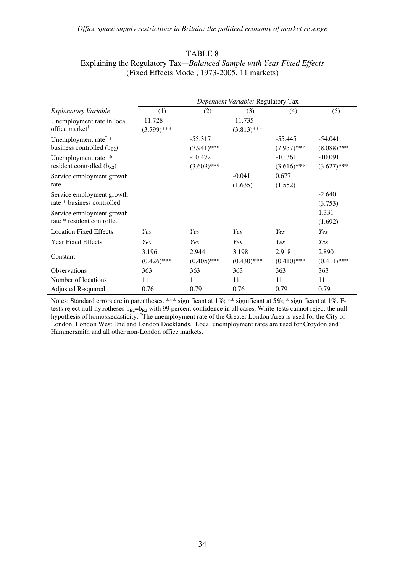|                                  | Dependent Variable: Regulatory Tax |               |               |               |               |
|----------------------------------|------------------------------------|---------------|---------------|---------------|---------------|
| <b>Explanatory Variable</b>      | (1)                                | (2)           | (3)           | (4)           | (5)           |
| Unemployment rate in local       | $-11.728$                          |               | $-11.735$     |               |               |
| office market <sup>†</sup>       | $(3.799)$ ***                      |               | $(3.813)$ *** |               |               |
| Unemployment rate <sup>†</sup> * |                                    | $-55.317$     |               | $-55.445$     | $-54.041$     |
| business controlled $(b_{B2})$   |                                    | $(7.941)$ *** |               | $(7.957)$ *** | $(8.088)$ *** |
| Unemployment rate <sup>†</sup> * |                                    | $-10.472$     |               | $-10.361$     | $-10.091$     |
| resident controlled $(b_{R2})$   |                                    | $(3.603)$ *** |               | $(3.616)$ *** | $(3.627)$ *** |
| Service employment growth        |                                    |               | $-0.041$      | 0.677         |               |
| rate                             |                                    |               | (1.635)       | (1.552)       |               |
| Service employment growth        |                                    |               |               |               | $-2.640$      |
| rate * business controlled       |                                    |               |               |               | (3.753)       |
| Service employment growth        |                                    |               |               |               | 1.331         |
| rate * resident controlled       |                                    |               |               |               | (1.692)       |
| <b>Location Fixed Effects</b>    | Yes                                | Yes           | Yes           | <b>Yes</b>    | Yes           |
| <b>Year Fixed Effects</b>        | Yes                                | Yes           | Yes           | Yes           | Yes           |
|                                  | 3.196                              | 2.944         | 3.198         | 2.918         | 2.890         |
| Constant                         | $(0.426)$ ***                      | $(0.405)$ *** | $(0.430)$ *** | $(0.410)$ *** | $(0.411)$ *** |
| Observations                     | 363                                | 363           | 363           | 363           | 363           |
| Number of locations              | 11                                 | 11            | 11            | 11            | 11            |
| Adjusted R-squared               | 0.76                               | 0.79          | 0.76          | 0.79          | 0.79          |

#### TABLE 8 Explaining the Regulatory Tax*—Balanced Sample with Year Fixed Effects* (Fixed Effects Model, 1973-2005, 11 markets)

Notes: Standard errors are in parentheses. \*\*\* significant at 1%; \*\* significant at 5%; \* significant at 1%. Ftests reject null-hypotheses  $b_{B2}=b_{R2}$  with 99 percent confidence in all cases. White-tests cannot reject the nullhypothesis of homoskedasticity. †The unemployment rate of the Greater London Area is used for the City of London, London West End and London Docklands. Local unemployment rates are used for Croydon and Hammersmith and all other non-London office markets.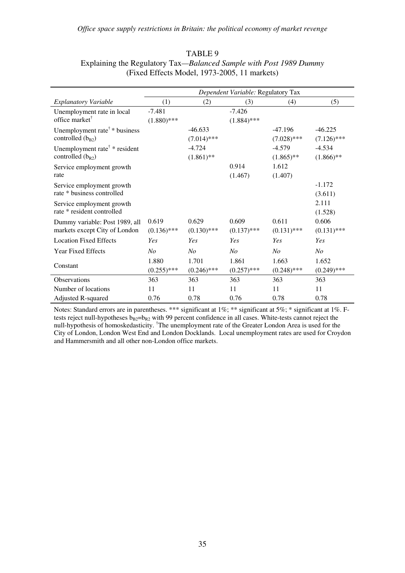|                                                              | Dependent Variable: Regulatory Tax |               |               |                |                |
|--------------------------------------------------------------|------------------------------------|---------------|---------------|----------------|----------------|
| <b>Explanatory Variable</b>                                  | (1)                                | (2)           | (3)           | (4)            | (5)            |
| Unemployment rate in local                                   | $-7.481$                           |               | $-7.426$      |                |                |
| office market <sup>†</sup>                                   | $(1.880)$ ***                      |               | $(1.884)$ *** |                |                |
| Unemployment rate <sup><math>\dagger</math></sup> * business |                                    | $-46.633$     |               | $-47.196$      | $-46.225$      |
| controlled $(b_{B2})$                                        |                                    | $(7.014)$ *** |               | $(7.028)$ ***  | $(7.126)$ ***  |
| Unemployment rate <sup><math>\dagger</math></sup> * resident |                                    | $-4.724$      |               | $-4.579$       | $-4.534$       |
| controlled $(b_{R2})$                                        |                                    | $(1.861)$ **  |               | $(1.865)$ **   | $(1.866)$ **   |
| Service employment growth                                    |                                    |               | 0.914         | 1.612          |                |
| rate                                                         |                                    |               | (1.467)       | (1.407)        |                |
| Service employment growth                                    |                                    |               |               |                | $-1.172$       |
| rate * business controlled                                   |                                    |               |               |                | (3.611)        |
| Service employment growth                                    |                                    |               |               |                | 2.111          |
| rate * resident controlled                                   |                                    |               |               |                | (1.528)        |
| Dummy variable: Post 1989, all                               | 0.619                              | 0.629         | 0.609         | 0.611          | 0.606          |
| markets except City of London                                | $(0.136)$ ***                      | $(0.130)$ *** | $(0.137)$ *** | $(0.131)$ ***  | $(0.131)$ ***  |
| <b>Location Fixed Effects</b>                                | Yes                                | Yes           | Yes           | Yes            | Yes            |
| Year Fixed Effects                                           | N <sub>O</sub>                     | No            | No            | N <sub>O</sub> | N <sub>O</sub> |
|                                                              | 1.880                              | 1.701         | 1.861         | 1.663          | 1.652          |
| Constant                                                     | $(0.255)$ ***                      | $(0.246)$ *** | $(0.257)$ *** | $(0.248)$ ***  | $(0.249)$ ***  |
| <b>Observations</b>                                          | 363                                | 363           | 363           | 363            | 363            |
| Number of locations                                          | 11                                 | 11            | 11            | 11             | 11             |
| Adjusted R-squared                                           | 0.76                               | 0.78          | 0.76          | 0.78           | 0.78           |

#### TABLE 9 Explaining the Regulatory Tax*—Balanced Sample with Post 1989 Dummy*  (Fixed Effects Model, 1973-2005, 11 markets)

Notes: Standard errors are in parentheses. \*\*\* significant at 1%; \*\* significant at 5%; \* significant at 1%. Ftests reject null-hypotheses  $b_{B2}=b_{R2}$  with 99 percent confidence in all cases. White-tests cannot reject the null-hypothesis of homoskedasticity. †The unemployment rate of the Greater London Area is used for the City of London, London West End and London Docklands. Local unemployment rates are used for Croydon and Hammersmith and all other non-London office markets.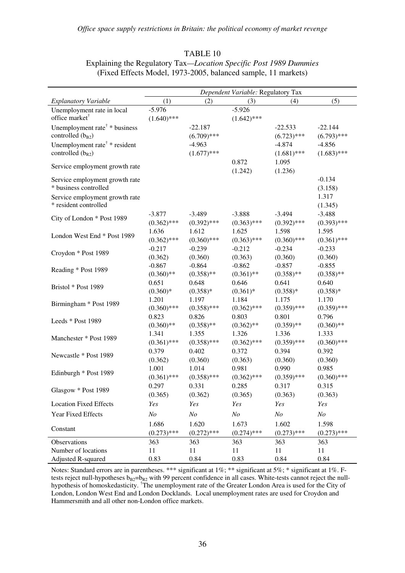|                                                              | Dependent Variable: Regulatory Tax |                |                |                |                |
|--------------------------------------------------------------|------------------------------------|----------------|----------------|----------------|----------------|
| <b>Explanatory Variable</b>                                  | (1)                                | (2)            | (3)            | (4)            | (5)            |
| Unemployment rate in local                                   | $-5.976$                           |                | $-5.926$       |                |                |
| office market <sup>†</sup>                                   | $(1.640)$ ***                      |                | $(1.642)$ ***  |                |                |
| Unemployment rate <sup><math>\dagger</math></sup> * business |                                    | $-22.187$      |                | $-22.533$      | $-22.144$      |
| controlled $(b_{B2})$                                        |                                    | $(6.709)$ ***  |                | $(6.723)$ ***  | $(6.793)$ ***  |
| Unemployment rate <sup>†</sup> * resident                    |                                    | $-4.963$       |                | $-4.874$       | $-4.856$       |
| controlled $(b_{R2})$                                        |                                    | $(1.677)$ ***  |                | $(1.681)$ ***  | $(1.683)$ ***  |
|                                                              |                                    |                | 0.872          | 1.095          |                |
| Service employment growth rate                               |                                    |                | (1.242)        | (1.236)        |                |
| Service employment growth rate                               |                                    |                |                |                | $-0.134$       |
| * business controlled                                        |                                    |                |                |                | (3.158)        |
| Service employment growth rate                               |                                    |                |                |                | 1.317          |
| * resident controlled                                        |                                    |                |                |                | (1.345)        |
|                                                              | $-3.877$                           | $-3.489$       | $-3.888$       | $-3.494$       | $-3.488$       |
| City of London * Post 1989                                   | $(0.362)$ ***                      | $(0.392)$ ***  | $(0.363)$ ***  | $(0.392)$ ***  | $(0.393)$ ***  |
|                                                              | 1.636                              | 1.612          | 1.625          | 1.598          | 1.595          |
| London West End * Post 1989                                  | $(0.362)$ ***                      | $(0.360)$ ***  | $(0.363)$ ***  | $(0.360)$ ***  | $(0.361)$ ***  |
|                                                              | $-0.217$                           | $-0.239$       | $-0.212$       | $-0.234$       | $-0.233$       |
| Croydon * Post 1989                                          | (0.362)                            | (0.360)        | (0.363)        | (0.360)        | (0.360)        |
|                                                              | $-0.867$                           | $-0.864$       | $-0.862$       | $-0.857$       | $-0.855$       |
| Reading * Post 1989                                          | $(0.360)$ **                       | $(0.358)$ **   | $(0.361)$ **   | $(0.358)$ **   | $(0.358)$ **   |
| Bristol * Post 1989                                          | 0.651                              | 0.648          | 0.646          | 0.641          | 0.640          |
|                                                              | $(0.360)*$                         | $(0.358)*$     | $(0.361)*$     | $(0.358)*$     | $(0.358)*$     |
| Birmingham * Post 1989                                       | 1.201                              | 1.197          | 1.184          | 1.175          | 1.170          |
|                                                              | $(0.360)$ ***                      | $(0.358)$ ***  | $(0.362)$ ***  | $(0.359)$ ***  | $(0.359)$ ***  |
| Leeds * Post 1989                                            | 0.823                              | 0.826          | 0.803          | 0.801          | 0.796          |
|                                                              | $(0.360)$ **                       | $(0.358)$ **   | $(0.362)$ **   | $(0.359)**$    | $(0.360)$ **   |
| Manchester * Post 1989                                       | 1.341                              | 1.355          | 1.326          | 1.336          | 1.333          |
|                                                              | $(0.361)$ ***                      | $(0.358)$ ***  | $(0.362)$ ***  | $(0.359)$ ***  | $(0.360)$ ***  |
| Newcastle * Post 1989                                        | 0.379                              | 0.402          | 0.372          | 0.394          | 0.392          |
|                                                              | (0.362)                            | (0.360)        | (0.363)        | (0.360)        | (0.360)        |
| Edinburgh * Post 1989                                        | 1.001                              | 1.014          | 0.981          | 0.990          | 0.985          |
|                                                              | $(0.361)$ ***                      | $(0.358)$ ***  | $(0.362)$ ***  | $(0.359)$ ***  | $(0.360)$ ***  |
| Glasgow * Post 1989                                          | 0.297                              | 0.331          | 0.285          | 0.317          | 0.315          |
|                                                              | (0.365)                            | (0.362)        | (0.365)        | (0.363)        | (0.363)        |
| <b>Location Fixed Effects</b>                                | Yes                                | Yes            | Yes            | Yes            | Yes            |
| Year Fixed Effects                                           | N <sub>O</sub>                     | N <sub>O</sub> | N <sub>O</sub> | N <sub>O</sub> | N <sub>O</sub> |
|                                                              | 1.686                              | 1.620          | 1.673          | 1.602          | 1.598          |
| Constant                                                     | $(0.273)$ ***                      | $(0.272)$ ***  | $(0.274)$ ***  | $(0.273)$ ***  | $(0.273)$ ***  |
| Observations                                                 | 363                                | 363            | 363            | 363            | 363            |
| Number of locations                                          | 11                                 | 11             | 11             | 11             | 11             |
| Adjusted R-squared                                           | 0.83                               | 0.84           | 0.83           | 0.84           | 0.84           |

#### TABLE 10 Explaining the Regulatory Tax*—Location Specific Post 1989 Dummies*  (Fixed Effects Model, 1973-2005, balanced sample, 11 markets)

Notes: Standard errors are in parentheses. \*\*\* significant at 1%; \*\* significant at 5%; \* significant at 1%. Ftests reject null-hypotheses  $b_{B2}=b_{R2}$  with 99 percent confidence in all cases. White-tests cannot reject the nullhypothesis of homoskedasticity. <sup>†</sup>The unemployment rate of the Greater London Area is used for the City of London, London West End and London Docklands. Local unemployment rates are used for Croydon and Hammersmith and all other non-London office markets.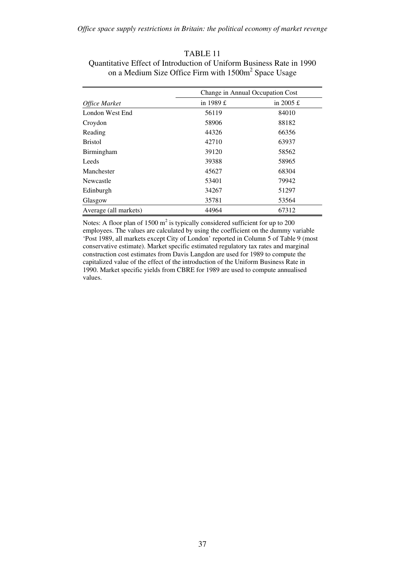|                       | Change in Annual Occupation Cost |                   |  |  |
|-----------------------|----------------------------------|-------------------|--|--|
| Office Market         | in 1989 £                        | in 2005 $\pounds$ |  |  |
| London West End       | 56119                            | 84010             |  |  |
| Croydon               | 58906                            | 88182             |  |  |
| Reading               | 44326                            | 66356             |  |  |
| <b>Bristol</b>        | 42710                            | 63937             |  |  |
| Birmingham            | 39120                            | 58562             |  |  |
| Leeds                 | 39388                            | 58965             |  |  |
| Manchester            | 45627                            | 68304             |  |  |
| Newcastle             | 53401                            | 79942             |  |  |
| Edinburgh             | 34267                            | 51297             |  |  |
| Glasgow               | 35781                            | 53564             |  |  |
| Average (all markets) | 44964                            | 67312             |  |  |

TABLE 11 Quantitative Effect of Introduction of Uniform Business Rate in 1990 on a Medium Size Office Firm with  $1500m^2$  Space Usage

Notes: A floor plan of 1500  $m^2$  is typically considered sufficient for up to 200 employees. The values are calculated by using the coefficient on the dummy variable 'Post 1989, all markets except City of London' reported in Column 5 of Table 9 (most conservative estimate). Market specific estimated regulatory tax rates and marginal construction cost estimates from Davis Langdon are used for 1989 to compute the capitalized value of the effect of the introduction of the Uniform Business Rate in 1990. Market specific yields from CBRE for 1989 are used to compute annualised values.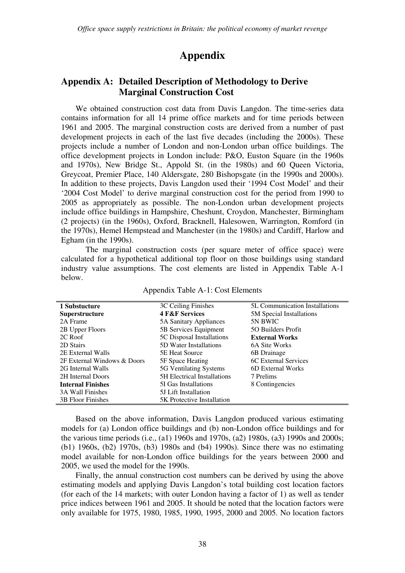## **Appendix**

#### **Appendix A: Detailed Description of Methodology to Derive Marginal Construction Cost**

We obtained construction cost data from Davis Langdon. The time-series data contains information for all 14 prime office markets and for time periods between 1961 and 2005. The marginal construction costs are derived from a number of past development projects in each of the last five decades (including the 2000s). These projects include a number of London and non-London urban office buildings. The office development projects in London include: P&O, Euston Square (in the 1960s and 1970s), New Bridge St., Appold St. (in the 1980s) and 60 Queen Victoria, Greycoat, Premier Place, 140 Aldersgate, 280 Bishopsgate (in the 1990s and 2000s). In addition to these projects, Davis Langdon used their '1994 Cost Model' and their '2004 Cost Model' to derive marginal construction cost for the period from 1990 to 2005 as appropriately as possible. The non-London urban development projects include office buildings in Hampshire, Cheshunt, Croydon, Manchester, Birmingham (2 projects) (in the 1960s), Oxford, Bracknell, Halesowen, Warrington, Romford (in the 1970s), Hemel Hempstead and Manchester (in the 1980s) and Cardiff, Harlow and Egham (in the 1990s).

 The marginal construction costs (per square meter of office space) were calculated for a hypothetical additional top floor on those buildings using standard industry value assumptions. The cost elements are listed in Appendix Table A-1 below.

| 1 Substucture               | 3C Ceiling Finishes         | 5L Communication Installations |
|-----------------------------|-----------------------------|--------------------------------|
| <b>Superstructure</b>       | <b>4 F&amp;F Services</b>   | 5M Special Installations       |
| 2A Frame                    | 5A Sanitary Appliances      | 5N BWIC                        |
| 2B Upper Floors             | 5B Services Equipment       | 50 Builders Profit             |
| 2C Roof                     | 5C Disposal Installations   | <b>External Works</b>          |
| 2D Stairs                   | 5D Water Installations      | 6A Site Works                  |
| 2E External Walls           | 5E Heat Source              | 6B Drainage                    |
| 2F External Windows & Doors | 5F Space Heating            | <b>6C</b> External Services    |
| 2G Internal Walls           | 5G Ventilating Systems      | 6D External Works              |
| 2H Internal Doors           | 5H Electrical Installations | 7 Prelims                      |
| <b>Internal Finishes</b>    | 5I Gas Installations        | 8 Contingencies                |
| 3A Wall Finishes            | 5J Lift Installation        |                                |
| 3B Floor Finishes           | 5K Protective Installation  |                                |
|                             |                             |                                |

#### Appendix Table A-1: Cost Elements

Based on the above information, Davis Langdon produced various estimating models for (a) London office buildings and (b) non-London office buildings and for the various time periods (i.e., (a1) 1960s and 1970s, (a2) 1980s, (a3) 1990s and 2000s; (b1) 1960s, (b2) 1970s, (b3) 1980s and (b4) 1990s). Since there was no estimating model available for non-London office buildings for the years between 2000 and 2005, we used the model for the 1990s.

Finally, the annual construction cost numbers can be derived by using the above estimating models and applying Davis Langdon's total building cost location factors (for each of the 14 markets; with outer London having a factor of 1) as well as tender price indices between 1961 and 2005. It should be noted that the location factors were only available for 1975, 1980, 1985, 1990, 1995, 2000 and 2005. No location factors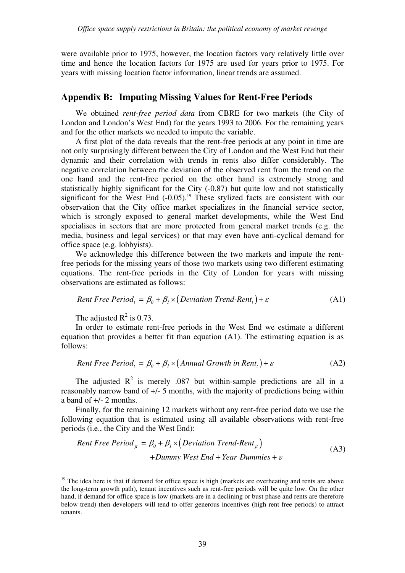were available prior to 1975, however, the location factors vary relatively little over time and hence the location factors for 1975 are used for years prior to 1975. For years with missing location factor information, linear trends are assumed.

#### **Appendix B: Imputing Missing Values for Rent-Free Periods**

We obtained *rent-free period data* from CBRE for two markets (the City of London and London's West End) for the years 1993 to 2006. For the remaining years and for the other markets we needed to impute the variable.

A first plot of the data reveals that the rent-free periods at any point in time are not only surprisingly different between the City of London and the West End but their dynamic and their correlation with trends in rents also differ considerably. The negative correlation between the deviation of the observed rent from the trend on the one hand and the rent-free period on the other hand is extremely strong and statistically highly significant for the City (-0.87) but quite low and not statistically significant for the West End  $(-0.05)$ .<sup>19</sup> These stylized facts are consistent with our observation that the City office market specializes in the financial service sector, which is strongly exposed to general market developments, while the West End specialises in sectors that are more protected from general market trends (e.g. the media, business and legal services) or that may even have anti-cyclical demand for office space (e.g. lobbyists).

We acknowledge this difference between the two markets and impute the rentfree periods for the missing years of those two markets using two different estimating equations. The rent-free periods in the City of London for years with missing observations are estimated as follows:

$$
Rent Free Periodt = \beta_0 + \beta_1 \times (Deviation Trend-Rentt) + \varepsilon
$$
\n(A1)

The adjusted  $R^2$  is 0.73.

 $\overline{a}$ 

In order to estimate rent-free periods in the West End we estimate a different equation that provides a better fit than equation (A1). The estimating equation is as follows:

$$
Rent Free Periodt = \beta_0 + \beta_1 \times (Annual Growth in Rentt) + \varepsilon
$$
 (A2)

The adjusted  $R^2$  is merely .087 but within-sample predictions are all in a reasonably narrow band of +/- 5 months, with the majority of predictions being within a band of +/- 2 months.

Finally, for the remaining 12 markets without any rent-free period data we use the following equation that is estimated using all available observations with rent-free periods (i.e., the City and the West End):

$$
Rent Free Periodjt = \beta_0 + \beta_1 \times (Deviation Trend-Rentjt)
$$
  
+*Dummy West End + Year Dummies + \varepsilon* (A3)

 $19$  The idea here is that if demand for office space is high (markets are overheating and rents are above the long-term growth path), tenant incentives such as rent-free periods will be quite low. On the other hand, if demand for office space is low (markets are in a declining or bust phase and rents are therefore below trend) then developers will tend to offer generous incentives (high rent free periods) to attract tenants.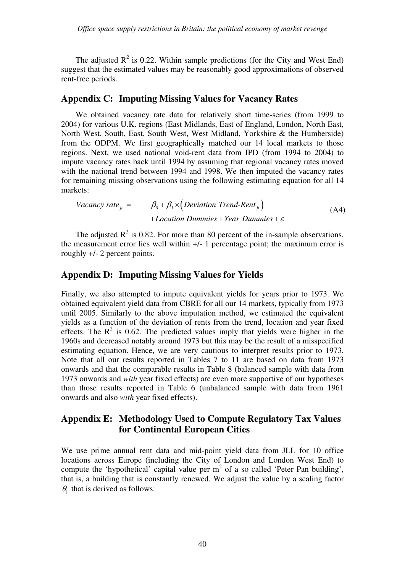The adjusted  $R^2$  is 0.22. Within sample predictions (for the City and West End) suggest that the estimated values may be reasonably good approximations of observed rent-free periods.

#### **Appendix C: Imputing Missing Values for Vacancy Rates**

We obtained vacancy rate data for relatively short time-series (from 1999 to 2004) for various U.K. regions (East Midlands, East of England, London, North East, North West, South, East, South West, West Midland, Yorkshire & the Humberside) from the ODPM. We first geographically matched our 14 local markets to those regions. Next, we used national void-rent data from IPD (from 1994 to 2004) to impute vacancy rates back until 1994 by assuming that regional vacancy rates moved with the national trend between 1994 and 1998. We then imputed the vacancy rates for remaining missing observations using the following estimating equation for all 14 markets:

$$
Vacancy\ rate_{ji} = \beta_0 + \beta_1 \times (Deviation\ Trend-Rent_{ji})
$$
  
+Location Dummies + Year Dummies + \varepsilon (A4)

The adjusted  $R^2$  is 0.82. For more than 80 percent of the in-sample observations, the measurement error lies well within  $+/- 1$  percentage point; the maximum error is roughly +/- 2 percent points.

#### **Appendix D: Imputing Missing Values for Yields**

Finally, we also attempted to impute equivalent yields for years prior to 1973. We obtained equivalent yield data from CBRE for all our 14 markets, typically from 1973 until 2005. Similarly to the above imputation method, we estimated the equivalent yields as a function of the deviation of rents from the trend, location and year fixed effects. The  $R^2$  is 0.62. The predicted values imply that yields were higher in the 1960s and decreased notably around 1973 but this may be the result of a misspecified estimating equation. Hence, we are very cautious to interpret results prior to 1973. Note that all our results reported in Tables 7 to 11 are based on data from 1973 onwards and that the comparable results in Table 8 (balanced sample with data from 1973 onwards and *with* year fixed effects) are even more supportive of our hypotheses than those results reported in Table 6 (unbalanced sample with data from 1961 onwards and also *with* year fixed effects).

#### **Appendix E: Methodology Used to Compute Regulatory Tax Values for Continental European Cities**

We use prime annual rent data and mid-point yield data from JLL for 10 office locations across Europe (including the City of London and London West End) to compute the 'hypothetical' capital value per  $m<sup>2</sup>$  of a so called 'Peter Pan building', that is, a building that is constantly renewed. We adjust the value by a scaling factor  $\theta_1$  that is derived as follows: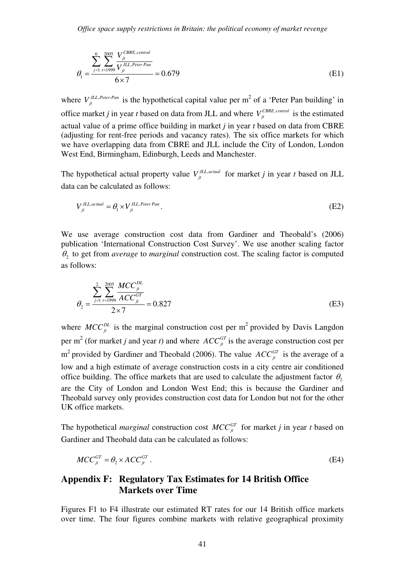$$
\theta_1 = \frac{\sum_{j=1}^{6} \sum_{t=1999}^{2005} \frac{V_{jt}^{CBRE,central}}{V_{jt}^{JLL,Peter\,Pan}}}{6 \times 7} = 0.679
$$
\n(E1)

where  $V_{ji}^{JLL, Peter-Pan}$  is the hypothetical capital value per m<sup>2</sup> of a 'Peter Pan building' in office market *j* in year *t* based on data from JLL and where  $V_i^{CBRE, central}$  is the estimated actual value of a prime office building in market *j* in year *t* based on data from CBRE (adjusting for rent-free periods and vacancy rates). The six office markets for which we have overlapping data from CBRE and JLL include the City of London, London West End, Birmingham, Edinburgh, Leeds and Manchester.

The hypothetical actual property value  $V_j^{IL, actual}$  for market *j* in year *t* based on JLL data can be calculated as follows:

$$
V_{it}^{JLL,actual} = \theta_1 \times V_{it}^{JLL,Peter\,Pan} \,. \tag{E2}
$$

We use average construction cost data from Gardiner and Theobald's (2006) publication 'International Construction Cost Survey'. We use another scaling factor  $\theta_2$  to get from *average* to *marginal* construction cost. The scaling factor is computed as follows:

$$
\theta_2 = \frac{\sum_{j=1}^{2} \sum_{t=1999}^{2005} \frac{MCC_{jt}^{DL}}{ACC_{jt}^{GT}}}{2 \times 7} = 0.827
$$
\n(E3)

where  $MCC_{it}^{DL}$  is the marginal construction cost per m<sup>2</sup> provided by Davis Langdon per m<sup>2</sup> (for market *j* and year *t*) and where  $ACC_{ji}^{GT}$  is the average construction cost per m<sup>2</sup> provided by Gardiner and Theobald (2006). The value  $ACC_{jt}^{GT}$  is the average of a low and a high estimate of average construction costs in a city centre air conditioned office building. The office markets that are used to calculate the adjustment factor  $\theta$ , are the City of London and London West End; this is because the Gardiner and Theobald survey only provides construction cost data for London but not for the other UK office markets.

The hypothetical *marginal* construction cost  $MCC$ <sup>*GT*</sup> for market *j* in year *t* based on Gardiner and Theobald data can be calculated as follows:

$$
MCC_{jt}^{GT} = \theta_2 \times ACC_{jt}^{GT}.
$$
 (E4)

## **Appendix F: Regulatory Tax Estimates for 14 British Office Markets over Time**

Figures F1 to F4 illustrate our estimated RT rates for our 14 British office markets over time. The four figures combine markets with relative geographical proximity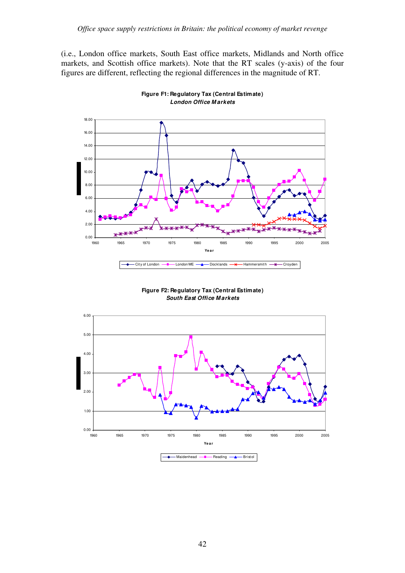(i.e., London office markets, South East office markets, Midlands and North office markets, and Scottish office markets). Note that the RT scales (y-axis) of the four figures are different, reflecting the regional differences in the magnitude of RT.



**Figure F1: Regulatory Tax (Central Estimate) London Office M arkets**

**Figure F2: Regulatory Tax (Central Estimate) South East Office M arkets**

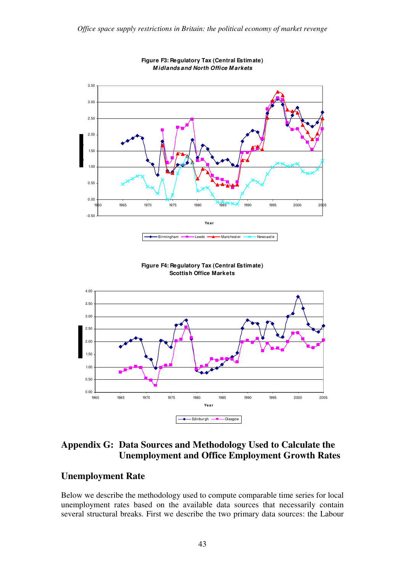

**Figure F3: Regulatory Tax (Central Estimate) M idlands and North Office M arkets**





## **Appendix G: Data Sources and Methodology Used to Calculate the Unemployment and Office Employment Growth Rates**

### **Unemployment Rate**

Below we describe the methodology used to compute comparable time series for local unemployment rates based on the available data sources that necessarily contain several structural breaks. First we describe the two primary data sources: the Labour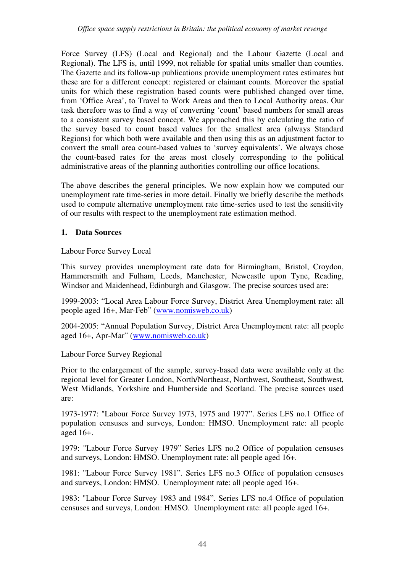Force Survey (LFS) (Local and Regional) and the Labour Gazette (Local and Regional). The LFS is, until 1999, not reliable for spatial units smaller than counties. The Gazette and its follow-up publications provide unemployment rates estimates but these are for a different concept: registered or claimant counts. Moreover the spatial units for which these registration based counts were published changed over time, from 'Office Area', to Travel to Work Areas and then to Local Authority areas. Our task therefore was to find a way of converting 'count' based numbers for small areas to a consistent survey based concept. We approached this by calculating the ratio of the survey based to count based values for the smallest area (always Standard Regions) for which both were available and then using this as an adjustment factor to convert the small area count-based values to 'survey equivalents'. We always chose the count-based rates for the areas most closely corresponding to the political administrative areas of the planning authorities controlling our office locations.

The above describes the general principles. We now explain how we computed our unemployment rate time-series in more detail. Finally we briefly describe the methods used to compute alternative unemployment rate time-series used to test the sensitivity of our results with respect to the unemployment rate estimation method.

#### **1. Data Sources**

#### Labour Force Survey Local

This survey provides unemployment rate data for Birmingham, Bristol, Croydon, Hammersmith and Fulham, Leeds, Manchester, Newcastle upon Tyne, Reading, Windsor and Maidenhead, Edinburgh and Glasgow. The precise sources used are:

1999-2003: "Local Area Labour Force Survey, District Area Unemployment rate: all people aged 16+, Mar-Feb" (www.nomisweb.co.uk)

2004-2005: "Annual Population Survey, District Area Unemployment rate: all people aged 16+, Apr-Mar" (www.nomisweb.co.uk)

#### Labour Force Survey Regional

Prior to the enlargement of the sample, survey-based data were available only at the regional level for Greater London, North/Northeast, Northwest, Southeast, Southwest, West Midlands, Yorkshire and Humberside and Scotland. The precise sources used are:

1973-1977: "Labour Force Survey 1973, 1975 and 1977". Series LFS no.1 Office of population censuses and surveys, London: HMSO. Unemployment rate: all people aged 16+.

1979: "Labour Force Survey 1979" Series LFS no.2 Office of population censuses and surveys, London: HMSO. Unemployment rate: all people aged 16+.

1981: "Labour Force Survey 1981". Series LFS no.3 Office of population censuses and surveys, London: HMSO. Unemployment rate: all people aged 16+.

1983: "Labour Force Survey 1983 and 1984". Series LFS no.4 Office of population censuses and surveys, London: HMSO. Unemployment rate: all people aged 16+.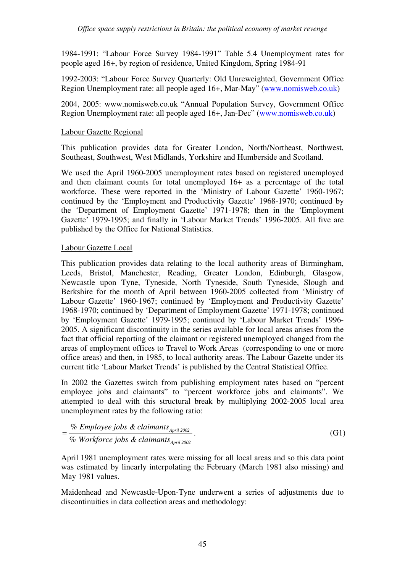1984-1991: "Labour Force Survey 1984-1991" Table 5.4 Unemployment rates for people aged 16+, by region of residence, United Kingdom, Spring 1984-91

1992-2003: "Labour Force Survey Quarterly: Old Unreweighted, Government Office Region Unemployment rate: all people aged 16+, Mar-May" (www.nomisweb.co.uk)

2004, 2005: www.nomisweb.co.uk "Annual Population Survey, Government Office Region Unemployment rate: all people aged 16+, Jan-Dec" (www.nomisweb.co.uk)

#### Labour Gazette Regional

This publication provides data for Greater London, North/Northeast, Northwest, Southeast, Southwest, West Midlands, Yorkshire and Humberside and Scotland.

We used the April 1960-2005 unemployment rates based on registered unemployed and then claimant counts for total unemployed 16+ as a percentage of the total workforce. These were reported in the 'Ministry of Labour Gazette' 1960-1967; continued by the 'Employment and Productivity Gazette' 1968-1970; continued by the 'Department of Employment Gazette' 1971-1978; then in the 'Employment Gazette' 1979-1995; and finally in 'Labour Market Trends' 1996-2005. All five are published by the Office for National Statistics.

#### Labour Gazette Local

This publication provides data relating to the local authority areas of Birmingham, Leeds, Bristol, Manchester, Reading, Greater London, Edinburgh, Glasgow, Newcastle upon Tyne, Tyneside, North Tyneside, South Tyneside, Slough and Berkshire for the month of April between 1960-2005 collected from 'Ministry of Labour Gazette' 1960-1967; continued by 'Employment and Productivity Gazette' 1968-1970; continued by 'Department of Employment Gazette' 1971-1978; continued by 'Employment Gazette' 1979-1995; continued by 'Labour Market Trends' 1996- 2005. A significant discontinuity in the series available for local areas arises from the fact that official reporting of the claimant or registered unemployed changed from the areas of employment offices to Travel to Work Areas (corresponding to one or more office areas) and then, in 1985, to local authority areas. The Labour Gazette under its current title 'Labour Market Trends' is published by the Central Statistical Office.

In 2002 the Gazettes switch from publishing employment rates based on "percent employee jobs and claimants" to "percent workforce jobs and claimants". We attempted to deal with this structural break by multiplying 2002-2005 local area unemployment rates by the following ratio:

$$
=\frac{\% \,\text{Employee jobs} \,\& \text{claimants}_{\text{April 2002}}}{\% \,\text{Workforce jobs} \,\& \text{claimants}_{\text{April 2002}}}\,. \tag{G1}
$$

April 1981 unemployment rates were missing for all local areas and so this data point was estimated by linearly interpolating the February (March 1981 also missing) and May 1981 values.

Maidenhead and Newcastle-Upon-Tyne underwent a series of adjustments due to discontinuities in data collection areas and methodology: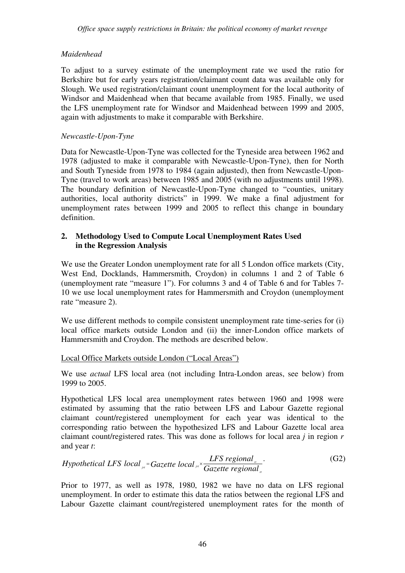#### *Maidenhead*

To adjust to a survey estimate of the unemployment rate we used the ratio for Berkshire but for early years registration/claimant count data was available only for Slough. We used registration/claimant count unemployment for the local authority of Windsor and Maidenhead when that became available from 1985. Finally, we used the LFS unemployment rate for Windsor and Maidenhead between 1999 and 2005, again with adjustments to make it comparable with Berkshire.

#### *Newcastle-Upon-Tyne*

Data for Newcastle-Upon-Tyne was collected for the Tyneside area between 1962 and 1978 (adjusted to make it comparable with Newcastle-Upon-Tyne), then for North and South Tyneside from 1978 to 1984 (again adjusted), then from Newcastle-Upon-Tyne (travel to work areas) between 1985 and 2005 (with no adjustments until 1998). The boundary definition of Newcastle-Upon-Tyne changed to "counties, unitary authorities, local authority districts" in 1999. We make a final adjustment for unemployment rates between 1999 and 2005 to reflect this change in boundary definition.

#### **2. Methodology Used to Compute Local Unemployment Rates Used in the Regression Analysis**

We use the Greater London unemployment rate for all 5 London office markets (City, West End, Docklands, Hammersmith, Croydon) in columns 1 and 2 of Table 6 (unemployment rate "measure 1"). For columns 3 and 4 of Table 6 and for Tables 7- 10 we use local unemployment rates for Hammersmith and Croydon (unemployment rate "measure 2).

We use different methods to compile consistent unemployment rate time-series for (i) local office markets outside London and (ii) the inner-London office markets of Hammersmith and Croydon. The methods are described below.

#### Local Office Markets outside London ("Local Areas")

We use *actual* LFS local area (not including Intra-London areas, see below) from 1999 to 2005.

Hypothetical LFS local area unemployment rates between 1960 and 1998 were estimated by assuming that the ratio between LFS and Labour Gazette regional claimant count/registered unemployment for each year was identical to the corresponding ratio between the hypothesized LFS and Labour Gazette local area claimant count/registered rates. This was done as follows for local area *j* in region *r* and year *t*:

$$
Hypothetical LFS local_{n} = Gazette local_{n} \times \frac{LFS regional_{n}}{Gazette regional_{n}}.
$$
\n(G2)

Prior to 1977, as well as 1978, 1980, 1982 we have no data on LFS regional unemployment. In order to estimate this data the ratios between the regional LFS and Labour Gazette claimant count/registered unemployment rates for the month of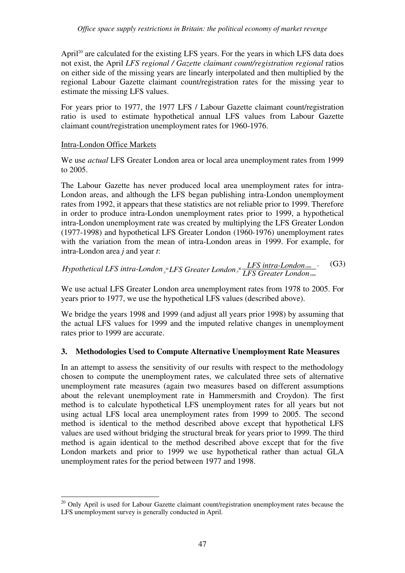April $^{20}$  are calculated for the existing LFS years. For the years in which LFS data does not exist, the April *LFS regional / Gazette claimant count/registration regional* ratios on either side of the missing years are linearly interpolated and then multiplied by the regional Labour Gazette claimant count/registration rates for the missing year to estimate the missing LFS values.

For years prior to 1977, the 1977 LFS / Labour Gazette claimant count/registration ratio is used to estimate hypothetical annual LFS values from Labour Gazette claimant count/registration unemployment rates for 1960-1976.

#### Intra-London Office Markets

We use *actual* LFS Greater London area or local area unemployment rates from 1999 to 2005.

The Labour Gazette has never produced local area unemployment rates for intra-London areas, and although the LFS began publishing intra-London unemployment rates from 1992, it appears that these statistics are not reliable prior to 1999. Therefore in order to produce intra-London unemployment rates prior to 1999, a hypothetical intra-London unemployment rate was created by multiplying the LFS Greater London (1977-1998) and hypothetical LFS Greater London (1960-1976) unemployment rates with the variation from the mean of intra-London areas in 1999. For example, for intra-London area *j* and year *t*:

*1999 jt jt 1999 = × LFS intra-London Hypothetical LFS intra-London LFS Greater London LFS Greater London*  $(G3)$ 

We use actual LFS Greater London area unemployment rates from 1978 to 2005. For years prior to 1977, we use the hypothetical LFS values (described above).

We bridge the years 1998 and 1999 (and adjust all years prior 1998) by assuming that the actual LFS values for 1999 and the imputed relative changes in unemployment rates prior to 1999 are accurate.

#### **3. Methodologies Used to Compute Alternative Unemployment Rate Measures**

In an attempt to assess the sensitivity of our results with respect to the methodology chosen to compute the unemployment rates, we calculated three sets of alternative unemployment rate measures (again two measures based on different assumptions about the relevant unemployment rate in Hammersmith and Croydon). The first method is to calculate hypothetical LFS unemployment rates for all years but not using actual LFS local area unemployment rates from 1999 to 2005. The second method is identical to the method described above except that hypothetical LFS values are used without bridging the structural break for years prior to 1999. The third method is again identical to the method described above except that for the five London markets and prior to 1999 we use hypothetical rather than actual GLA unemployment rates for the period between 1977 and 1998.

 $\overline{a}$ <sup>20</sup> Only April is used for Labour Gazette claimant count/registration unemployment rates because the LFS unemployment survey is generally conducted in April.